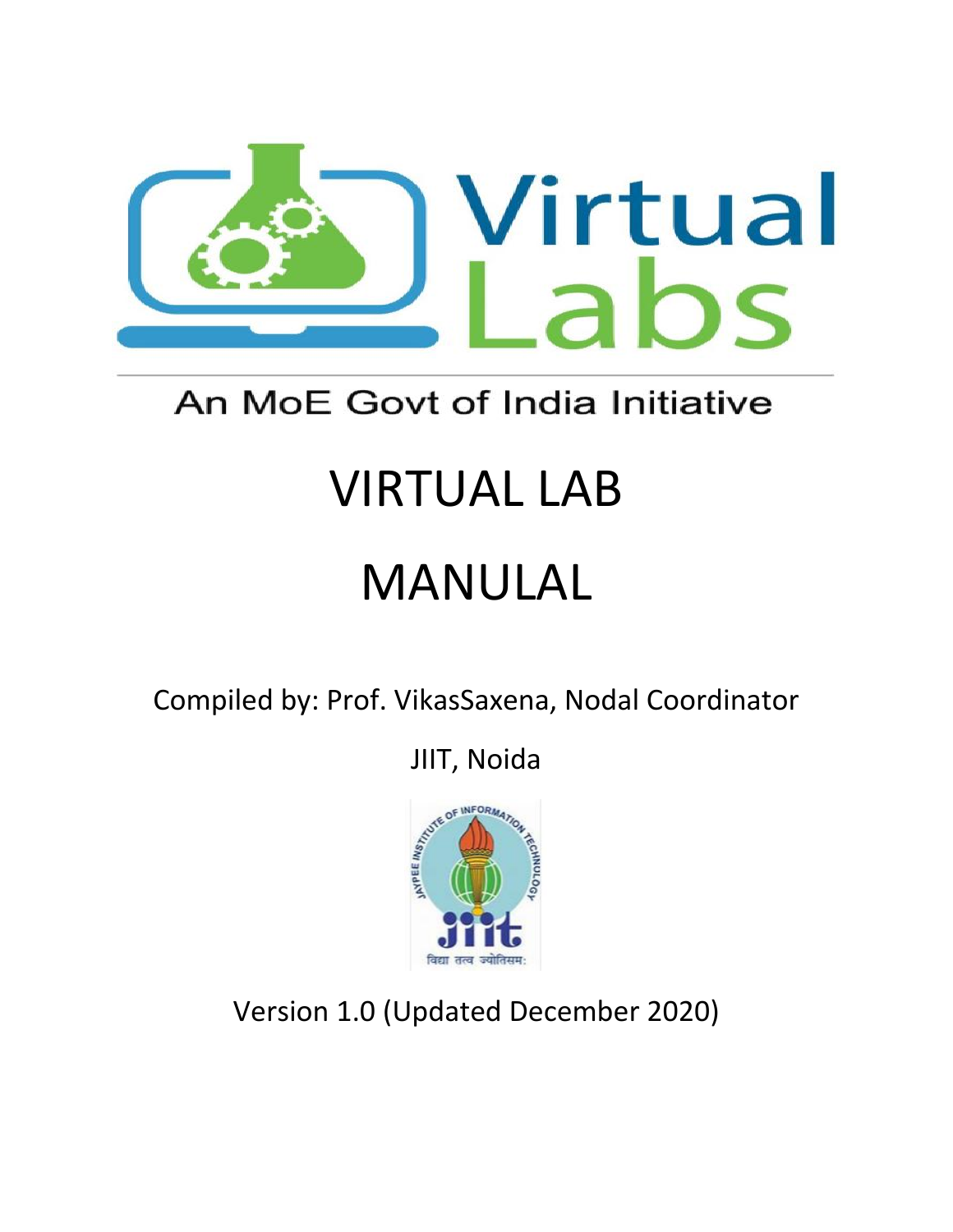

# An MoE Govt of India Initiative

# VIRTUAL LAB

# MANULAL

Compiled by: Prof. VikasSaxena, Nodal Coordinator

JIIT, Noida



Version 1.0 (Updated December 2020)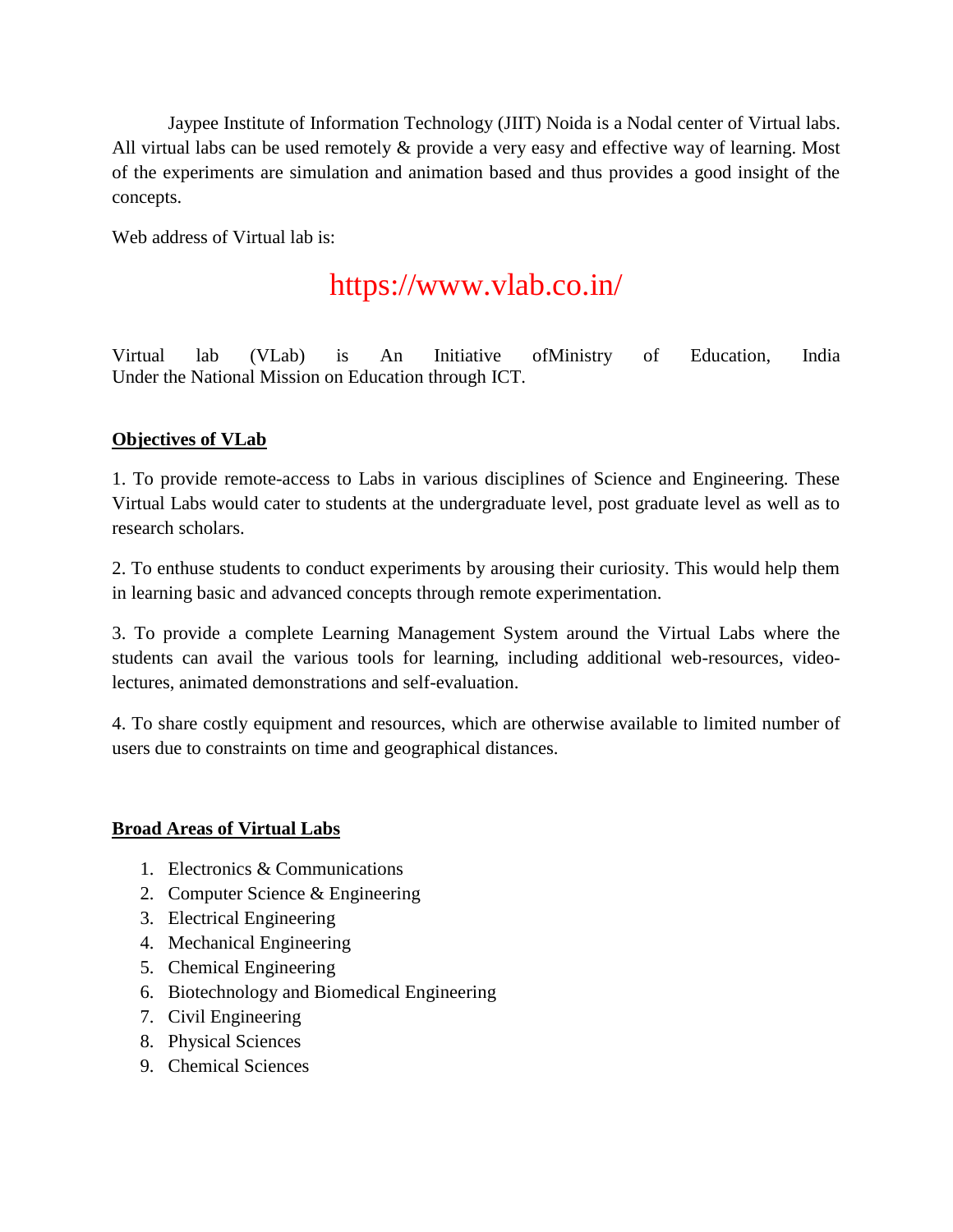Jaypee Institute of Information Technology (JIIT) Noida is a Nodal center of Virtual labs. All virtual labs can be used remotely & provide a very easy and effective way of learning. Most of the experiments are simulation and animation based and thus provides a good insight of the concepts.

Web address of Virtual lab is:

# https://www.vlab.co.in/

Virtual lab (VLab) is An Initiative ofMinistry of Education, India Under the National Mission on Education through ICT.

# **Objectives of VLab**

1. To provide remote-access to Labs in various disciplines of Science and Engineering. These Virtual Labs would cater to students at the undergraduate level, post graduate level as well as to research scholars.

2. To enthuse students to conduct experiments by arousing their curiosity. This would help them in learning basic and advanced concepts through remote experimentation.

3. To provide a complete Learning Management System around the Virtual Labs where the students can avail the various tools for learning, including additional web-resources, videolectures, animated demonstrations and self-evaluation.

4. To share costly equipment and resources, which are otherwise available to limited number of users due to constraints on time and geographical distances.

# **Broad Areas of Virtual Labs**

- 1. Electronics & Communications
- 2. Computer Science & Engineering
- 3. Electrical Engineering
- 4. Mechanical Engineering
- 5. Chemical Engineering
- 6. Biotechnology and Biomedical Engineering
- 7. Civil Engineering
- 8. Physical Sciences
- 9. Chemical Sciences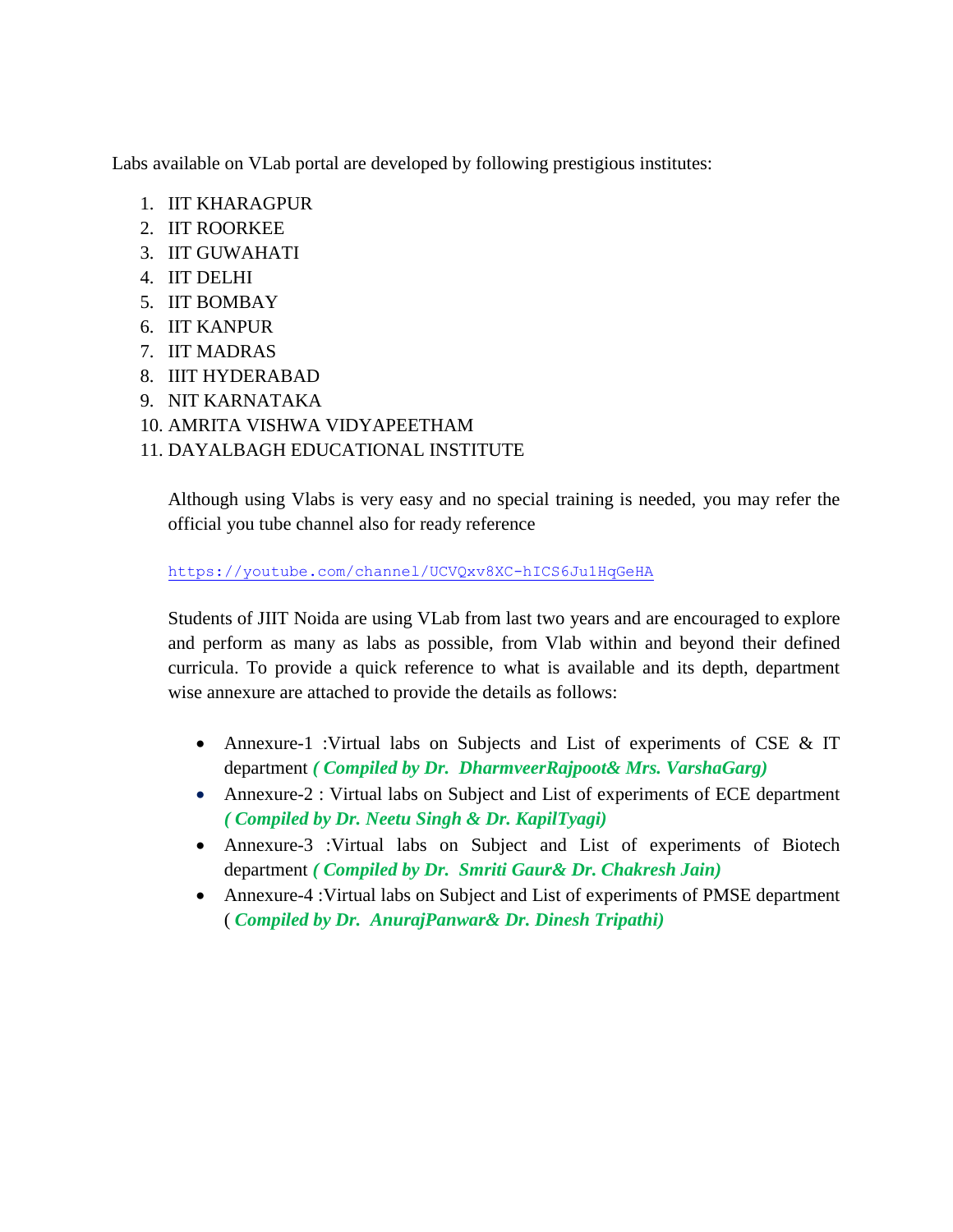Labs available on VLab portal are developed by following prestigious institutes:

- 1. IIT KHARAGPUR
- 2. IIT ROORKEE
- 3. IIT GUWAHATI
- 4. IIT DELHI
- 5. IIT BOMBAY
- 6. IIT KANPUR
- 7. IIT MADRAS
- 8. IIIT HYDERABAD
- 9. NIT KARNATAKA
- 10. AMRITA VISHWA VIDYAPEETHAM
- 11. DAYALBAGH EDUCATIONAL INSTITUTE

Although using Vlabs is very easy and no special training is needed, you may refer the official you tube channel also for ready reference

<https://youtube.com/channel/UCVQxv8XC-hICS6Ju1HqGeHA>

Students of JIIT Noida are using VLab from last two years and are encouraged to explore and perform as many as labs as possible, from Vlab within and beyond their defined curricula. To provide a quick reference to what is available and its depth, department wise annexure are attached to provide the details as follows:

- Annexure-1 :Virtual labs on Subjects and List of experiments of CSE & IT department *( Compiled by Dr. DharmveerRajpoot& Mrs. VarshaGarg)*
- Annexure-2 : Virtual labs on Subject and List of experiments of ECE department *( Compiled by Dr. Neetu Singh & Dr. KapilTyagi)*
- Annexure-3 :Virtual labs on Subject and List of experiments of Biotech department *( Compiled by Dr. Smriti Gaur& Dr. Chakresh Jain)*
- Annexure-4 :Virtual labs on Subject and List of experiments of PMSE department ( *Compiled by Dr. AnurajPanwar& Dr. Dinesh Tripathi)*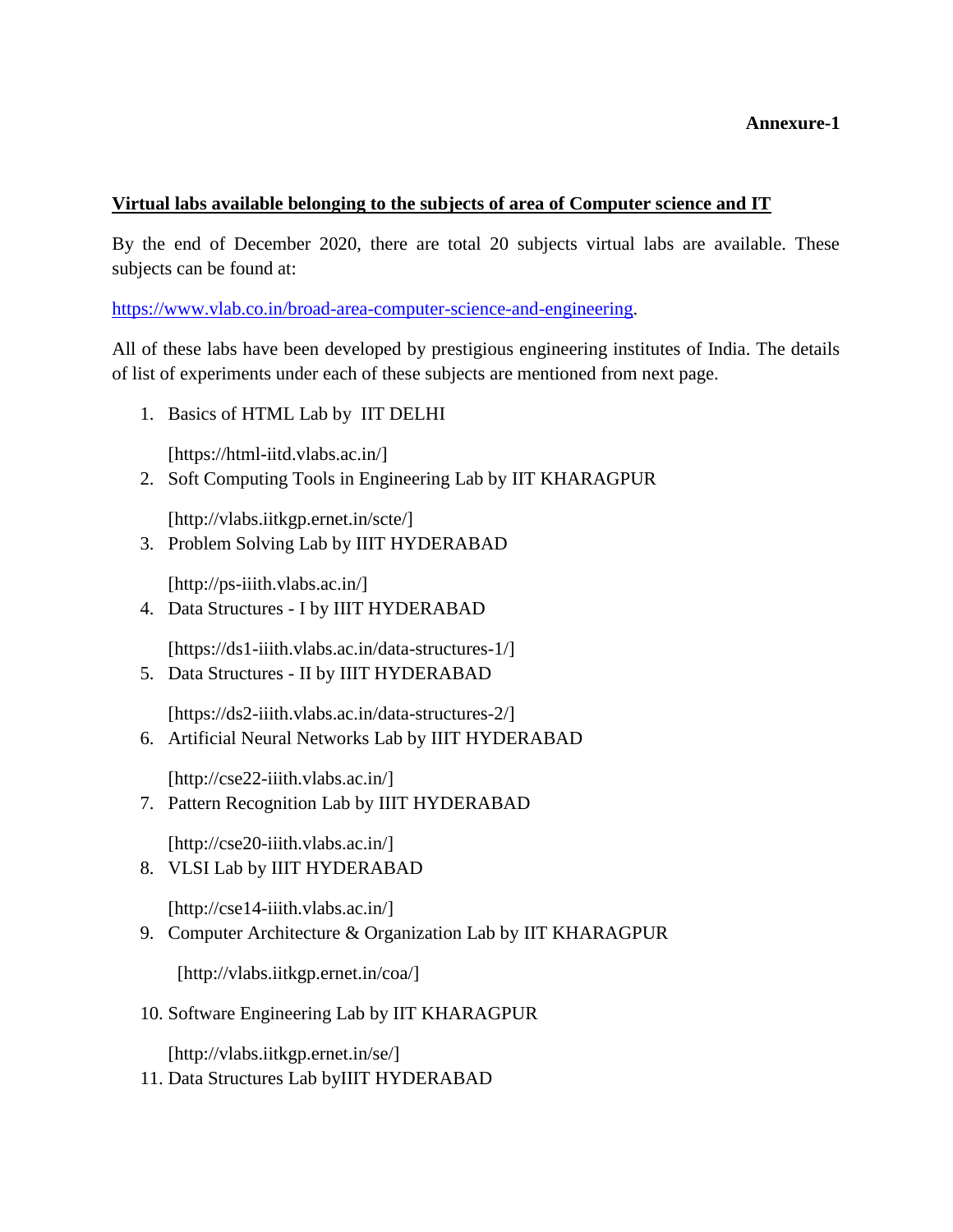#### **Annexure-1**

#### **Virtual labs available belonging to the subjects of area of Computer science and IT**

By the end of December 2020, there are total 20 subjects virtual labs are available. These subjects can be found at:

[https://www.vlab.co.in/broad-area-computer-science-and-engineering.](https://www.vlab.co.in/broad-area-computer-science-and-engineering)

All of these labs have been developed by prestigious engineering institutes of India. The details of list of experiments under each of these subjects are mentioned from next page.

1. Basics of HTML Lab by IIT DELHI

[https://html-iitd.vlabs.ac.in/]

2. Soft Computing Tools in Engineering Lab by IIT KHARAGPUR

[http://vlabs.iitkgp.ernet.in/scte/]

3. Problem Solving Lab by IIIT HYDERABAD

[http://ps-iiith.vlabs.ac.in/]

4. Data Structures - I by IIIT HYDERABAD

[https://ds1-iiith.vlabs.ac.in/data-structures-1/]

5. Data Structures - II by IIIT HYDERABAD

[https://ds2-iiith.vlabs.ac.in/data-structures-2/]

6. Artificial Neural Networks Lab by IIIT HYDERABAD

[http://cse22-iiith.vlabs.ac.in/]

7. Pattern Recognition Lab by IIIT HYDERABAD

[http://cse20-iiith.vlabs.ac.in/]

8. VLSI Lab by IIIT HYDERABAD

[http://cse14-iiith.vlabs.ac.in/]

9. Computer Architecture & Organization Lab by IIT KHARAGPUR

[http://vlabs.iitkgp.ernet.in/coa/]

10. Software Engineering Lab by IIT KHARAGPUR

[http://vlabs.iitkgp.ernet.in/se/]

11. Data Structures Lab byIIIT HYDERABAD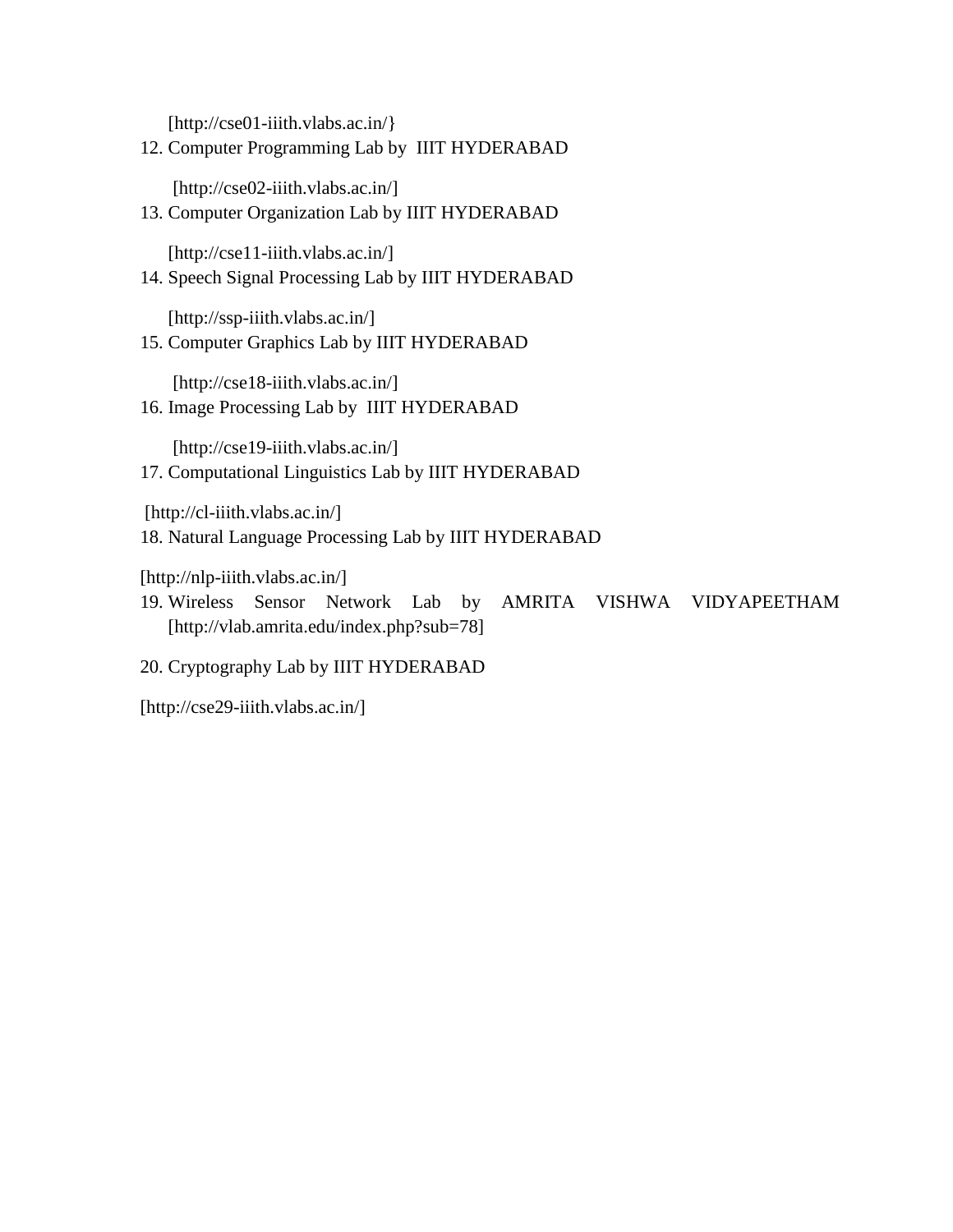[http://cse01-iiith.vlabs.ac.in/]

12. Computer Programming Lab by IIIT HYDERABAD

[http://cse02-iiith.vlabs.ac.in/]

13. Computer Organization Lab by IIIT HYDERABAD

[http://cse11-iiith.vlabs.ac.in/]

14. Speech Signal Processing Lab by IIIT HYDERABAD

[http://ssp-iiith.vlabs.ac.in/]

15. Computer Graphics Lab by IIIT HYDERABAD

[http://cse18-iiith.vlabs.ac.in/]

16. Image Processing Lab by IIIT HYDERABAD

[http://cse19-iiith.vlabs.ac.in/] 17. Computational Linguistics Lab by IIIT HYDERABAD

[http://cl-iiith.vlabs.ac.in/]

18. Natural Language Processing Lab by IIIT HYDERABAD

[http://nlp-iiith.vlabs.ac.in/]

19. Wireless Sensor Network Lab by AMRITA VISHWA VIDYAPEETHAM [http://vlab.amrita.edu/index.php?sub=78]

20. Cryptography Lab by IIIT HYDERABAD

[http://cse29-iiith.vlabs.ac.in/]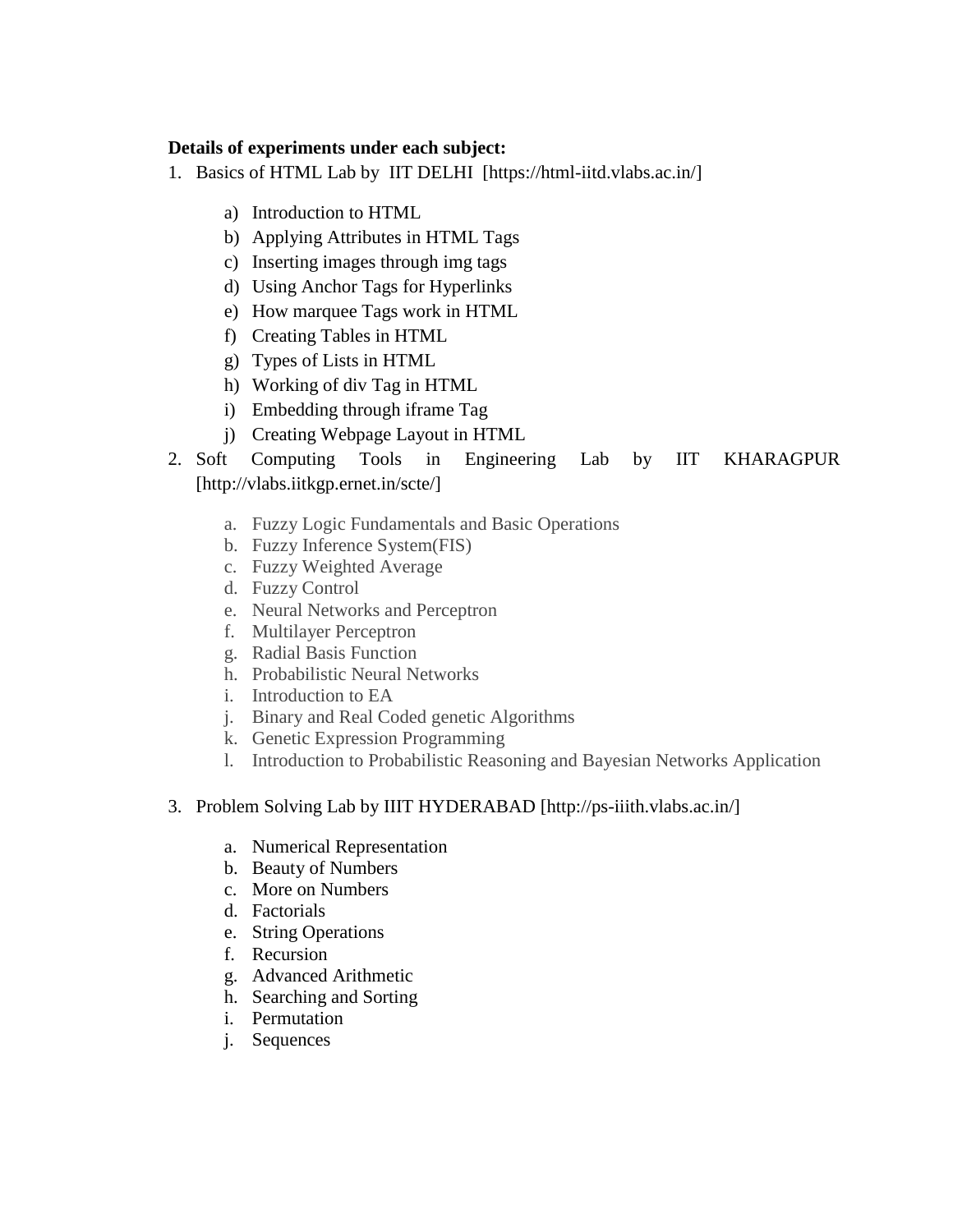#### **Details of experiments under each subject:**

- 1. Basics of HTML Lab by IIT DELHI [https://html-iitd.vlabs.ac.in/]
	- a) Introduction to HTML
	- b) Applying Attributes in HTML Tags
	- c) Inserting images through img tags
	- d) Using Anchor Tags for Hyperlinks
	- e) How marquee Tags work in HTML
	- f) Creating Tables in HTML
	- g) Types of Lists in HTML
	- h) Working of div Tag in HTML
	- i) Embedding through iframe Tag
	- j) Creating Webpage Layout in HTML
- 2. Soft Computing Tools in Engineering Lab by IIT KHARAGPUR [http://vlabs.iitkgp.ernet.in/scte/]
	- a. Fuzzy Logic Fundamentals and Basic Operations
	- b. Fuzzy Inference System(FIS)
	- c. Fuzzy Weighted Average
	- d. Fuzzy Control
	- e. Neural Networks and Perceptron
	- f. Multilayer Perceptron
	- g. Radial Basis Function
	- h. Probabilistic Neural Networks
	- i. Introduction to EA
	- j. Binary and Real Coded genetic Algorithms
	- k. Genetic Expression Programming
	- l. Introduction to Probabilistic Reasoning and Bayesian Networks Application

#### 3. Problem Solving Lab by IIIT HYDERABAD [http://ps-iiith.vlabs.ac.in/]

- a. Numerical Representation
- b. Beauty of Numbers
- c. [More on Numbers](http://ps-iiith.vlabs.ac.in/exp3/Introduction.html?domain=Computer%20Science&lab=Problem%20Solving%20Lab)
- d. [Factorials](http://ps-iiith.vlabs.ac.in/exp4/Introduction.html?domain=Computer%20Science&lab=Problem%20Solving%20Lab)
- e. [String Operations](http://ps-iiith.vlabs.ac.in/exp5/Introduction.html?domain=Computer%20Science&lab=Problem%20Solving%20Lab)
- f. [Recursion](http://ps-iiith.vlabs.ac.in/exp6/Introduction.html?domain=Computer%20Science&lab=Problem%20Solving%20Lab)
- g. [Advanced Arithmetic](http://ps-iiith.vlabs.ac.in/exp7/Introduction.html?domain=Computer%20Science&lab=Problem%20Solving%20Lab)
- h. [Searching and Sorting](http://ps-iiith.vlabs.ac.in/exp8/Introduction.html?domain=Computer%20Science&lab=Problem%20Solving%20Lab)
- i. [Permutation](http://ps-iiith.vlabs.ac.in/exp9/Introduction.html?domain=Computer%20Science&lab=Problem%20Solving%20Lab)
- j. [Sequences](http://ps-iiith.vlabs.ac.in/exp10/Introduction.html?domain=Computer%20Science&lab=Problem%20Solving%20Lab)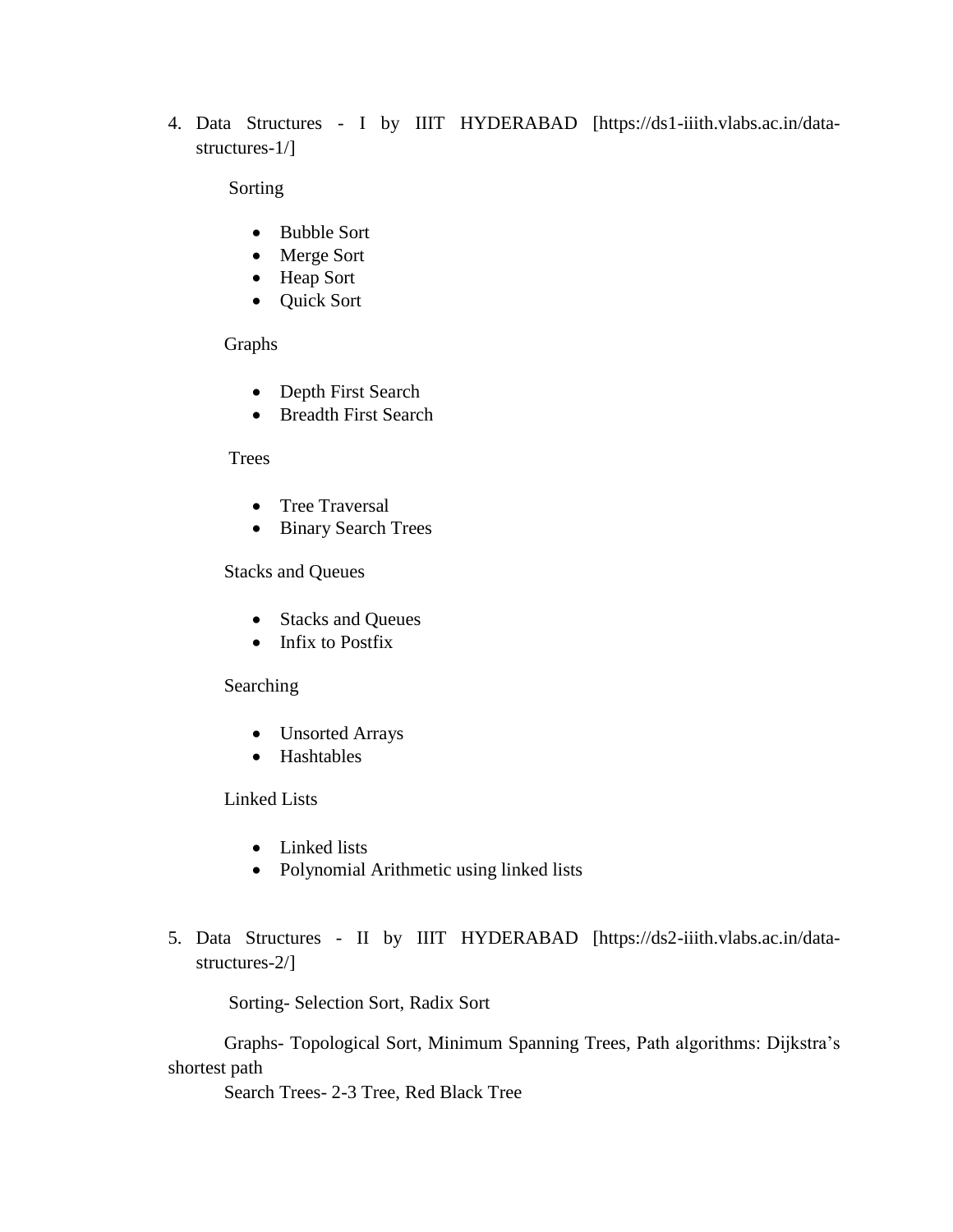4. Data Structures - I by IIIT HYDERABAD [https://ds1-iiith.vlabs.ac.in/datastructures-1/]

Sorting

- [Bubble Sort](https://ds1-iiith.vlabs.ac.in/exp/bubble-sort/exp.html)
- [Merge Sort](https://ds1-iiith.vlabs.ac.in/exp/merge-sort/exp.html)
- [Heap Sort](https://ds1-iiith.vlabs.ac.in/exp/heap-sort/exp.html)
- [Quick Sort](https://ds1-iiith.vlabs.ac.in/exp/quick-sort/exp.html)

Graphs

- [Depth First Search](https://ds1-iiith.vlabs.ac.in/exp/depth-first-search/exp.html)
- [Breadth First Search](https://ds1-iiith.vlabs.ac.in/exp/breadth-first-search/exp.html)

#### Trees

- [Tree Traversal](https://ds1-iiith.vlabs.ac.in/exp/tree-traversal/exp.html)
- [Binary Search Trees](https://ds1-iiith.vlabs.ac.in/exp/binary-search-trees/exp.html)

Stacks and Queues

- Stacks and Oueues
- $\bullet$  [Infix to Postfix](https://ds1-iiith.vlabs.ac.in/exp/infix-postfix/exp.html)

#### Searching

- [Unsorted Arrays](https://ds1-iiith.vlabs.ac.in/exp/unsorted-arrays/exp.html)
- [Hashtables](https://ds1-iiith.vlabs.ac.in/exp/hash-tables/exp.html)

#### Linked Lists

- [Linked lists](https://ds1-iiith.vlabs.ac.in/exp/linked-list/exp.html)
- [Polynomial Arithmetic using linked lists](https://ds1-iiith.vlabs.ac.in/exp/poly-arithmetic/exp.html)
- 5. Data Structures II by IIIT HYDERABAD [https://ds2-iiith.vlabs.ac.in/datastructures-2/]

Sorting- Selection Sort, Radix Sort

Graphs- Topological Sort, Minimum Spanning Trees, Path algorithms: Dijkstra's shortest path

Search Trees- 2-3 Tree, Red Black Tree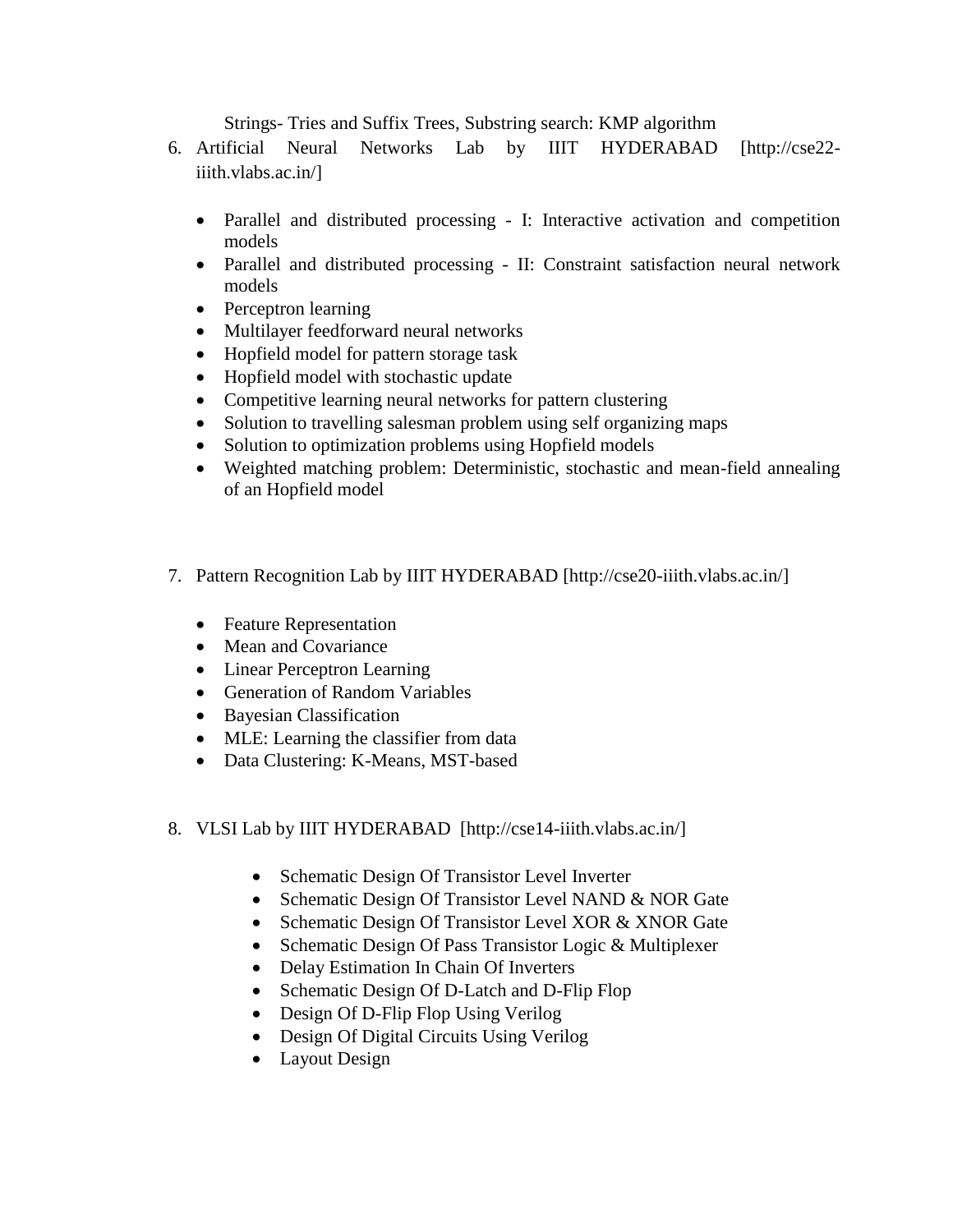Strings- Tries and Suffix Trees, Substring search: KMP algorithm

- 6. Artificial Neural Networks Lab by IIIT HYDERABAD [http://cse22 iiith.vlabs.ac.in/]
	- Parallel and distributed processing I: Interactive activation and competition [models](http://cse22-iiith.vlabs.ac.in/exp_pdp_iacm/Tutorial.html?domain=Computer%20Science&lab=Artificial%20Neural%20Networks)
	- Parallel and distributed processing [II: Constraint satisfaction neural network](http://cse22-iiith.vlabs.ac.in/exp_pdp_csnn/Tutorial.html?domain=Computer%20Science&lab=Artificial%20Neural%20Networks)  [models](http://cse22-iiith.vlabs.ac.in/exp_pdp_csnn/Tutorial.html?domain=Computer%20Science&lab=Artificial%20Neural%20Networks)
	- [Perceptron learning](http://cse22-iiith.vlabs.ac.in/exp_perceptron/Tutorial.html?domain=Computer%20Science&lab=Artificial%20Neural%20Networks)
	- [Multilayer feedforward neural networks](http://cse22-iiith.vlabs.ac.in/exp_mlfnn/Tutorial.html?domain=Computer%20Science&lab=Artificial%20Neural%20Networks)
	- [Hopfield model for pattern storage task](http://cse22-iiith.vlabs.ac.in/exp_hopfield_storage/Tutorial.html?domain=Computer%20Science&lab=Artificial%20Neural%20Networks)
	- [Hopfield model with stochastic update](http://cse22-iiith.vlabs.ac.in/exp_hopfield_stochastic/Tutorial.html?domain=Computer%20Science&lab=Artificial%20Neural%20Networks)
	- [Competitive learning neural networks for pattern clustering](http://cse22-iiith.vlabs.ac.in/exp_clnn/Objective.html?domain=Computer%20Science&lab=Artificial%20Neural%20Networks)
	- [Solution to travelling salesman problem using self organizing maps](http://cse22-iiith.vlabs.ac.in/exp_tsp/Tutorial.html?domain=Computer%20Science&lab=Artificial%20Neural%20Networks)
	- [Solution to optimization problems using Hopfield models](http://cse22-iiith.vlabs.ac.in/exp_optimization/Tutorial.html?domain=Computer%20Science&lab=Artificial%20Neural%20Networks)
	- [Weighted matching problem: Deterministic, stochastic and mean-field annealing](http://cse22-iiith.vlabs.ac.in/exp_weighted_matching/Tutorial.html?domain=Computer%20Science&lab=Artificial%20Neural%20Networks)  [of an Hopfield model](http://cse22-iiith.vlabs.ac.in/exp_weighted_matching/Tutorial.html?domain=Computer%20Science&lab=Artificial%20Neural%20Networks)
- 7. Pattern Recognition Lab by IIIT HYDERABAD [http://cse20-iiith.vlabs.ac.in/]
	- [Feature Representation](http://cse20-iiith.vlabs.ac.in/exp1/Introduction.html?domain=Computer%20Science&lab=Pattern%20Recognition%20Lab)
	- [Mean and Covariance](http://cse20-iiith.vlabs.ac.in/exp2/Introduction.html?domain=Computer%20Science&lab=Pattern%20Recognition%20Lab)
	- [Linear Perceptron Learning](http://cse20-iiith.vlabs.ac.in/exp3/Introduction.html?domain=Computer%20Science&lab=Pattern%20Recognition%20Lab)
	- [Generation of Random Variables](http://cse20-iiith.vlabs.ac.in/exp4/Introduction.html?domain=Computer%20Science&lab=Pattern%20Recognition%20Lab)
	- [Bayesian Classification](http://cse20-iiith.vlabs.ac.in/exp5/Introduction.html?domain=Computer%20Science&lab=Pattern%20Recognition%20Lab)
	- [MLE: Learning the classifier from data](http://cse20-iiith.vlabs.ac.in/exp6/Introduction.html?domain=Computer%20Science&lab=Pattern%20Recognition%20Lab)
	- [Data Clustering: K-Means, MST-based](http://cse20-iiith.vlabs.ac.in/exp7/Introduction.html?domain=Computer%20Science&lab=Pattern%20Recognition%20Lab)
- 8. VLSI Lab by IIIT HYDERABAD [http://cse14-iiith.vlabs.ac.in/]
	- [Schematic Design Of Transistor Level Inverter](http://cse14-iiith.vlabs.ac.in/final-build/EXP_1sep2010/exp1/Introduction.html?domain=Computer%20Science%20&%20Engineering&lab=Welcome%20to%20VLSI%20lab!)
	- [Schematic Design Of Transistor Level NAND & NOR Gate](http://cse14-iiith.vlabs.ac.in/final-build/EXP_1sep2010/exp2/Introduction.html?domain=Computer%20Science%20&%20Engineering&lab=Welcome%20to%20VLSI%20lab!)
	- [Schematic Design Of Transistor Level XOR & XNOR Gate](http://cse14-iiith.vlabs.ac.in/final-build/EXP_1sep2010/exp3/Introduction.html?domain=Computer%20Science%20&%20Engineering&lab=Welcome%20to%20VLSI%20lab!)
	- [Schematic Design Of Pass Transistor Logic & Multiplexer](http://cse14-iiith.vlabs.ac.in/final-build/EXP_1sep2010/exp4/Introduction.html?domain=Computer%20Science%20&%20Engineering&lab=Welcome%20to%20VLSI%20lab!)
	- [Delay Estimation In Chain Of Inverters](http://cse14-iiith.vlabs.ac.in/final-build/EXP_1sep2010/exp5/Introduction.html?domain=Computer%20Science%20&%20Engineering&lab=Welcome%20to%20VLSI%20lab!)
	- [Schematic Design Of D-Latch and D-Flip Flop](http://cse14-iiith.vlabs.ac.in/final-build/EXP_1sep2010/exp6/Introduction.html?domain=Computer%20Science%20&%20Engineering&lab=Welcome%20to%20VLSI%20lab!)
	- [Design Of D-Flip Flop Using Verilog](http://cse14-iiith.vlabs.ac.in/final-build/EXP_1sep2010/exp8/Introduction.html?domain=Computer%20Science%20&%20Engineering&lab=Welcome%20to%20VLSI%20lab!)
	- [Design Of Digital Circuits Using Verilog](http://cse14-iiith.vlabs.ac.in/final-build/EXP_1sep2010/exp9/Introduction.html?domain=Computer%20Science%20&%20Engineering&lab=Welcome%20to%20VLSI%20lab!)
	- [Layout Design](http://cse14-iiith.vlabs.ac.in/final-build/EXP_1sep2010/layout/Introduction.html?domain=Computer%20Science%20&%20Engineering&lab=Welcome%20to%20VLSI%20lab!)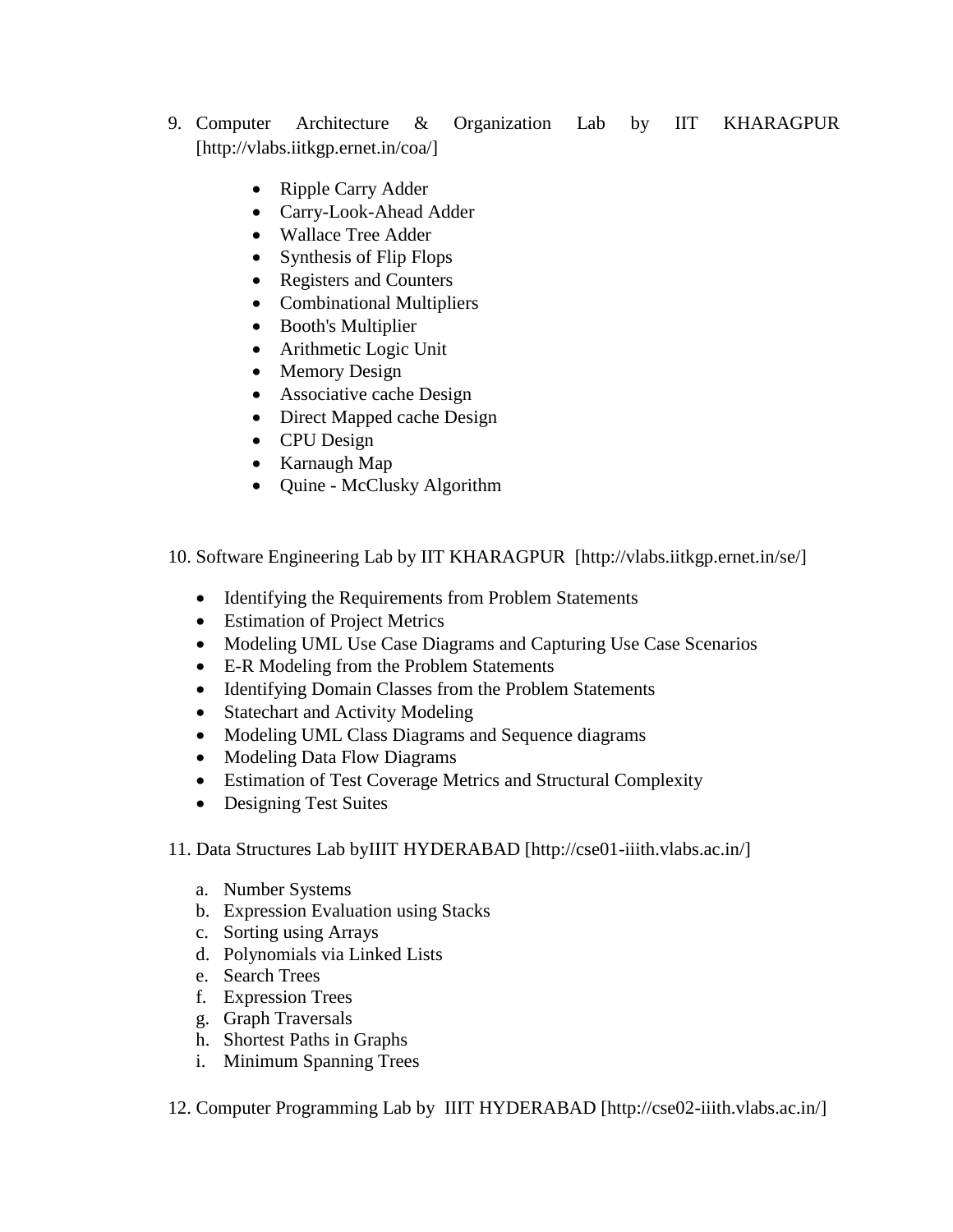- 9. Computer Architecture & Organization Lab by IIT KHARAGPUR [http://vlabs.iitkgp.ernet.in/coa/]
	- [Ripple Carry Adder](http://vlabs.iitkgp.ernet.in/coa/exp1/index.html)
	- [Carry-Look-Ahead Adder](http://vlabs.iitkgp.ernet.in/coa/exp2/index.html)
	- [Wallace Tree Adder](http://vlabs.iitkgp.ernet.in/coa/exp3/index.html)
	- [Synthesis of Flip Flops](http://vlabs.iitkgp.ernet.in/coa/exp4/index.html)
	- [Registers and Counters](http://vlabs.iitkgp.ernet.in/coa/exp5/index.html)
	- [Combinational Multipliers](http://vlabs.iitkgp.ernet.in/coa/exp6/index.html)
	- [Booth's Multiplier](http://vlabs.iitkgp.ernet.in/coa/exp7/index.html)
	- [Arithmetic Logic Unit](http://vlabs.iitkgp.ernet.in/coa/exp8/index.html)
	- [Memory Design](http://vlabs.iitkgp.ernet.in/coa/exp9/index.html)
	- [Associative cache Design](http://vlabs.iitkgp.ernet.in/coa/exp10/index.html)
	- [Direct Mapped cache Design](http://vlabs.iitkgp.ernet.in/coa/exp11/index.html)
	- [CPU Design](http://vlabs.iitkgp.ernet.in/coa/exp12/index.html)
	- [Karnaugh Map](http://vlabs.iitkgp.ernet.in/coa/exp13/index.html)
	- Quine [McClusky Algorithm](http://vlabs.iitkgp.ernet.in/coa/exp14/index.html)

10. Software Engineering Lab by IIT KHARAGPUR [http://vlabs.iitkgp.ernet.in/se/]

- [Identifying the Requirements from Problem Statements](http://vlabs.iitkgp.ernet.in/se/1/)
- [Estimation of Project Metrics](http://vlabs.iitkgp.ernet.in/se/2/)
- [Modeling UML Use Case Diagrams and Capturing Use Case Scenarios](http://vlabs.iitkgp.ernet.in/se/3/)
- E-R Modeling from [the Problem Statements](http://vlabs.iitkgp.ernet.in/se/4/)
- [Identifying Domain Classes from the Problem Statements](http://vlabs.iitkgp.ernet.in/se/5/)
- [Statechart and Activity Modeling](http://vlabs.iitkgp.ernet.in/se/6/)
- [Modeling UML Class Diagrams and Sequence diagrams](http://vlabs.iitkgp.ernet.in/se/7/)
- [Modeling Data Flow Diagrams](http://vlabs.iitkgp.ernet.in/se/8/)
- [Estimation of Test Coverage Metrics and Structural Complexity](http://vlabs.iitkgp.ernet.in/se/9/)
- [Designing Test Suites](http://vlabs.iitkgp.ernet.in/se/10/)
- 11. Data Structures Lab byIIIT HYDERABAD [http://cse01-iiith.vlabs.ac.in/]
	- a. [Number Systems](http://cse01-iiith.vlabs.ac.in/exp1/Introduction.html?domain=Computer%20Science&lab=Data%20Structures)
	- b. [Expression Evaluation using Stacks](http://cse01-iiith.vlabs.ac.in/exp2/Introduction.html?domain=Computer%20Science&lab=Data%20Structures)
	- c. [Sorting using Arrays](http://cse01-iiith.vlabs.ac.in/exp3/Introduction.html?domain=Computer%20Science&lab=Data%20Structures)
	- d. [Polynomials via Linked Lists](http://cse01-iiith.vlabs.ac.in/exp4/Introduction.html?domain=Computer%20Science&lab=Data%20Structures)
	- e. [Search Trees](http://cse01-iiith.vlabs.ac.in/exp5/Introduction.html?domain=Computer%20Science&lab=Data%20Structures)
	- f. [Expression Trees](http://cse01-iiith.vlabs.ac.in/exp6/Introduction.html?domain=Computer%20Science&lab=Data%20Structures)
	- g. [Graph Traversals](http://cse01-iiith.vlabs.ac.in/exp7/Introduction.html?domain=Computer%20Science&lab=Data%20Structures)
	- h. [Shortest Paths in Graphs](http://cse01-iiith.vlabs.ac.in/exp8/Introduction.html?domain=Computer%20Science&lab=Data%20Structures)
	- i. [Minimum Spanning Trees](http://cse01-iiith.vlabs.ac.in/exp9/Introduction.html?domain=Computer%20Science&lab=Data%20Structures)

12. Computer Programming Lab by IIIT HYDERABAD [http://cse02-iiith.vlabs.ac.in/]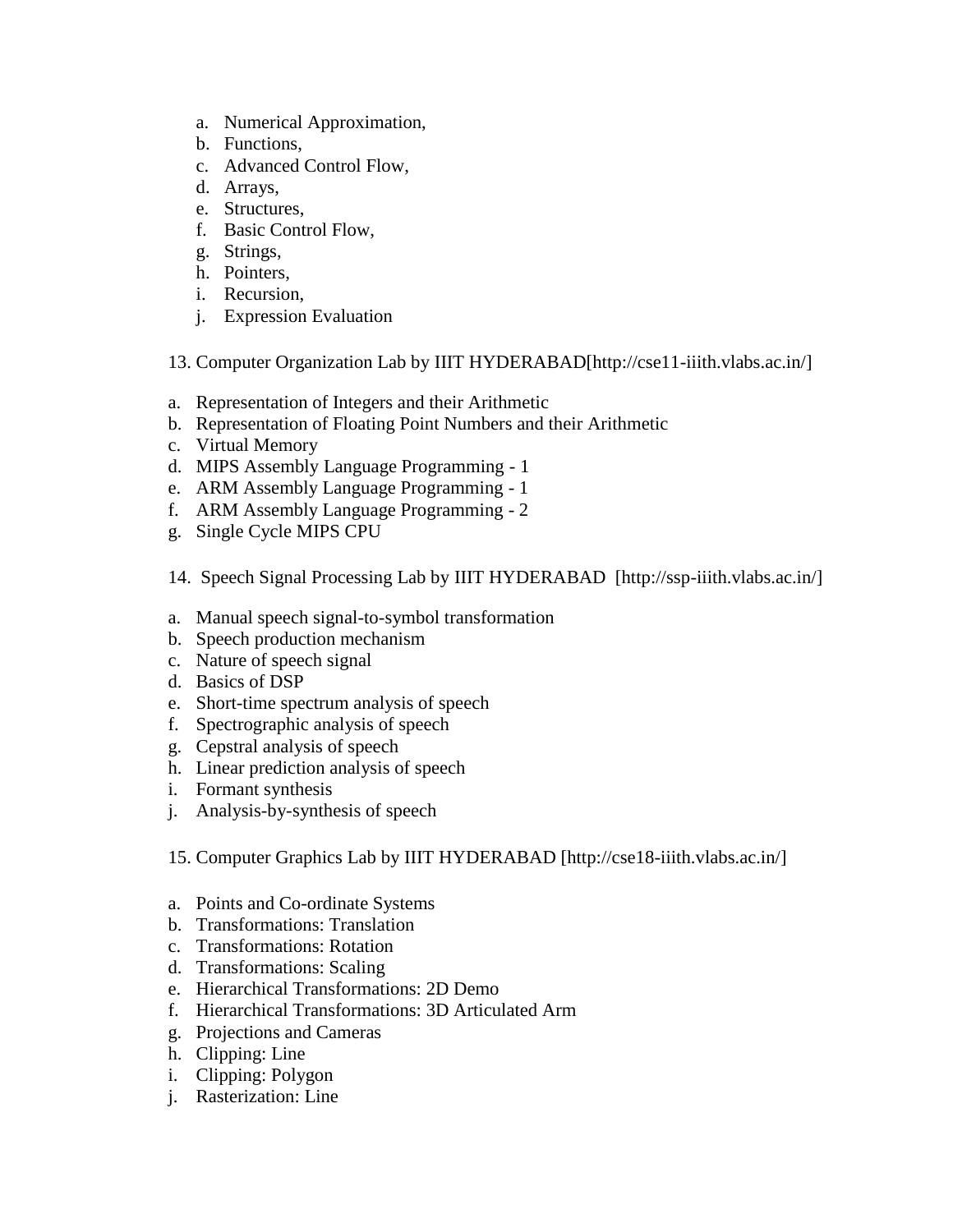- a. Numerical Approximation,
- b. Functions,
- c. Advanced Control Flow,
- d. Arrays,
- e. Structures,
- f. Basic Control Flow,
- g. Strings,
- h. Pointers,
- i. Recursion,
- j. Expression Evaluation

13. Computer Organization Lab by IIIT HYDERABAD[http://cse11-iiith.vlabs.ac.in/]

- a. [Representation of Integers and their Arithmetic](http://cse11-iiith.vlabs.ac.in/Integers/Introduction.html?domain=Computer%20Science&lab=Computer%20Systems%20Organization%20lab)
- b. [Representation of Floating Point Numbers and their Arithmetic](http://cse11-iiith.vlabs.ac.in/FloatingPointNumbers/Introduction.html?domain=Computer%20Science&lab=Computer%20Systems%20Organization%20lab)
- c. [Virtual Memory](http://cse11-iiith.vlabs.ac.in/VirtualMemory/Introduction.html?domain=Computer%20Science&lab=Computer%20Systems%20Organization%20lab)
- d. [MIPS Assembly Language Programming -](http://cse11-iiith.vlabs.ac.in/MIPS1/Introduction.html?domain=Computer%20Science&lab=Computer%20Systems%20Organization%20lab) 1
- e. [ARM Assembly Language Programming -](http://cse11-iiith.vlabs.ac.in/ARM1/Introduction.html?domain=Computer%20Science&lab=Computer%20Systems%20Organization%20lab) 1
- f. [ARM Assembly Language Programming -](http://cse11-iiith.vlabs.ac.in/ARM2/Introduction.html?domain=Computer%20Science&lab=Computer%20Systems%20Organization%20lab) 2
- g. [Single Cycle MIPS CPU](http://cse11-iiith.vlabs.ac.in/SingleCycle/Introduction.html?domain=Computer%20Science&lab=Computer%20Systems%20Organization%20lab)
- 14. Speech Signal Processing Lab by IIIT HYDERABAD [http://ssp-iiith.vlabs.ac.in/]
- a. [Manual speech signal-to-symbol transformation](http://ssp-iiith.vlabs.ac.in/ExpManualSpeech/Objective.html)
- b. [Speech production mechanism](http://ssp-iiith.vlabs.ac.in/ExpSpeechProduction/Objective.html)
- c. [Nature of speech signal](http://ssp-iiith.vlabs.ac.in/ExpNatureOfSpeech/Objective.html)
- d. [Basics of DSP](http://ssp-iiith.vlabs.ac.in/ExpDSPBasics/Objective.html)
- e. [Short-time spectrum analysis of speech](http://ssp-iiith.vlabs.ac.in/ExpShortTimeSpectrum/Objective.html)
- f. [Spectrographic analysis of speech](http://ssp-iiith.vlabs.ac.in/ExpSpectrographicAnal/Objective.html)
- g. [Cepstral analysis of speech](http://ssp-iiith.vlabs.ac.in/ExpCepstralAnaly/Objective.html)
- h. [Linear prediction analysis of speech](http://ssp-iiith.vlabs.ac.in/ExpLinearPrediction/Objective.html)
- i. [Formant synthesis](http://ssp-iiith.vlabs.ac.in/ExpFormatSyn/Objective.html)
- j. [Analysis-by-synthesis of speech](http://ssp-iiith.vlabs.ac.in/ExpAnalBySynthesis/Objective.html)
- 15. Computer Graphics Lab by IIIT HYDERABAD [http://cse18-iiith.vlabs.ac.in/]
- a. [Points and Co-ordinate Systems](http://cse18-iiith.vlabs.ac.in/exp1/Introduction.html?domain=Computer%20Science&lab=Computer%20Graphics)
- b. [Transformations: Translation](http://cse18-iiith.vlabs.ac.in/exp2/Introduction.html?domain=Computer%20Science&lab=Computer%20Graphics)
- c. [Transformations: Rotation](http://cse18-iiith.vlabs.ac.in/exp3/Introduction.html?domain=Computer%20Science&lab=Computer%20Graphics)
- d. [Transformations: Scaling](http://cse18-iiith.vlabs.ac.in/exp4/Introduction.html?domain=Computer%20Science&lab=Computer%20Graphics)
- e. [Hierarchical Transformations: 2D Demo](http://cse18-iiith.vlabs.ac.in/exp5a/Introduction.html?domain=Computer%20Science&lab=Computer%20Graphics)
- f. [Hierarchical Transformations: 3D Articulated Arm](http://cse18-iiith.vlabs.ac.in/exp5b/Introduction.html?domain=Computer%20Science&lab=Computer%20Graphics)
- g. [Projections and Cameras](http://cse18-iiith.vlabs.ac.in/exp6/Introduction.html?domain=Computer%20Science&lab=Computer%20Graphics)
- h. [Clipping: Line](http://cse18-iiith.vlabs.ac.in/exp7/Introduction.html?domain=Computer%20Science&lab=Computer%20Graphics)
- i. [Clipping: Polygon](http://cse18-iiith.vlabs.ac.in/exp8/Introduction.html?domain=Computer%20Science&lab=Computer%20Graphics)
- j. [Rasterization: Line](http://cse18-iiith.vlabs.ac.in/exp9/Introduction.html?domain=Computer%20Science&lab=Computer%20Graphics)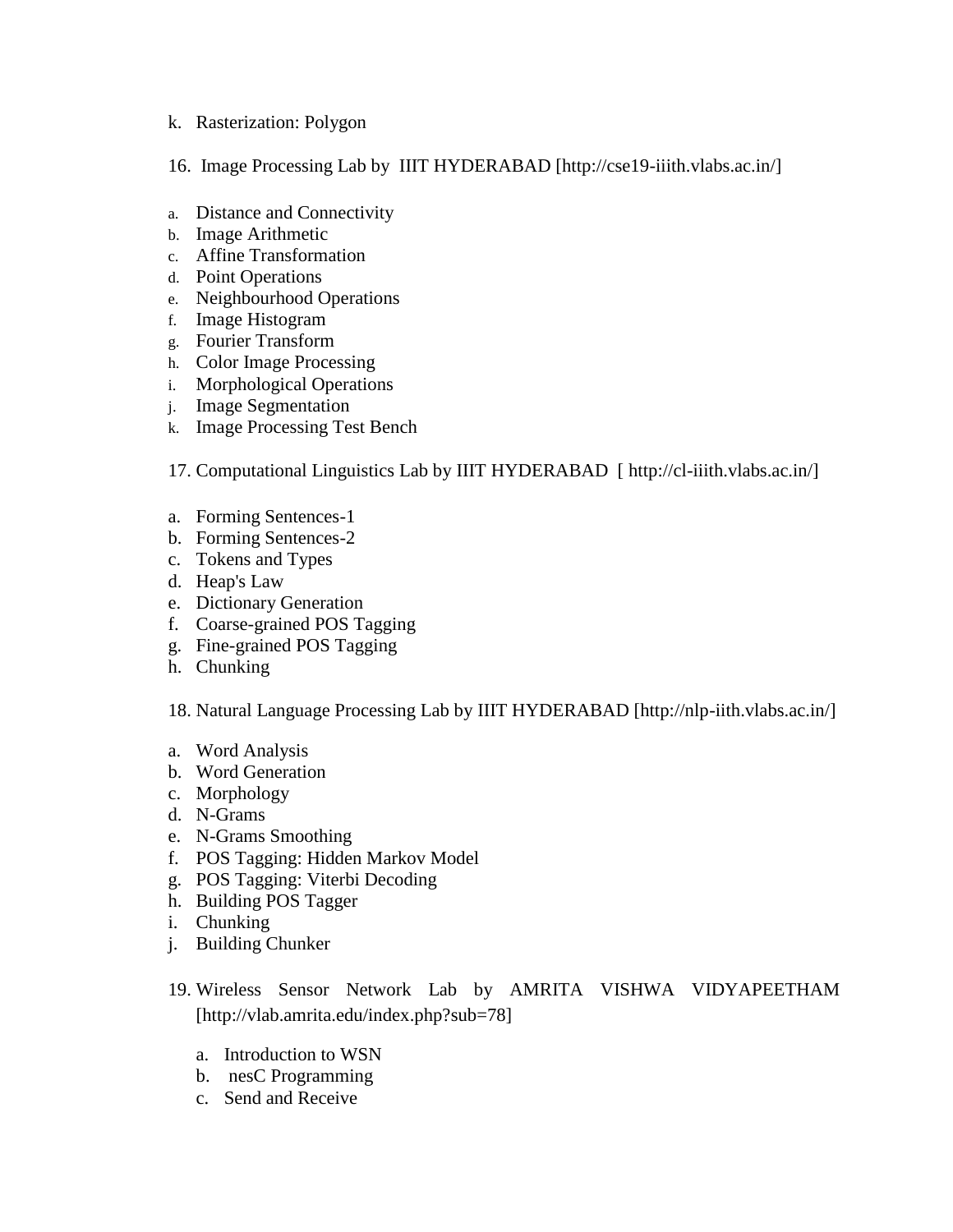#### k. [Rasterization: Polygon](http://cse18-iiith.vlabs.ac.in/exp10/Introduction.html?domain=Computer%20Science&lab=Computer%20Graphics)

- 16. Image Processing Lab by IIIT HYDERABAD [http://cse19-iiith.vlabs.ac.in/]
- a. [Distance and Connectivity](http://cse19-iiith.vlabs.ac.in/objective.php?exp=diff)
- b. [Image Arithmetic](http://cse19-iiith.vlabs.ac.in/objective.php?exp=arith)
- c. [Affine Transformation](http://cse19-iiith.vlabs.ac.in/objective.php?exp=affine)
- d. [Point Operations](http://cse19-iiith.vlabs.ac.in/objective.php?exp=point)
- e. [Neighbourhood Operations](http://cse19-iiith.vlabs.ac.in/objective.php?exp=neigh)
- f. [Image Histogram](http://cse19-iiith.vlabs.ac.in/objective.php?exp=histo)
- g. [Fourier Transform](http://cse19-iiith.vlabs.ac.in/objective.php?exp=fourier)
- h. [Color Image Processing](http://cse19-iiith.vlabs.ac.in/objective.php?exp=colour)
- i. [Morphological Operations](http://cse19-iiith.vlabs.ac.in/objective.php?exp=morph)
- j. [Image Segmentation](http://cse19-iiith.vlabs.ac.in/objective.php?exp=segment)
- k. [Image Processing Test Bench](http://cse19-iiith.vlabs.ac.in/objective.php?exp=piping)

17. Computational Linguistics Lab by IIIT HYDERABAD [ http://cl-iiith.vlabs.ac.in/]

- a. [Forming Sentences-1](http://cl-iiith.vlabs.ac.in/exp1/Introduction.html?domain=Computer%20Science&lab=Computational%20Linguistics%20Lab)
- b. [Forming Sentences-2](http://cl-iiith.vlabs.ac.in/exp2/Introduction.html?domain=Computer%20Science&lab=Computational%20Linguistics%20Lab)
- c. [Tokens and Types](http://cl-iiith.vlabs.ac.in/exp3/Introduction.html?domain=Computer%20Science&lab=Computational%20Linguistics%20Lab)
- d. [Heap's Law](http://cl-iiith.vlabs.ac.in/exp4/Introduction.html?domain=Computer%20Science&lab=Computational%20Linguistics%20Lab)
- e. [Dictionary Generation](http://cl-iiith.vlabs.ac.in/exp5/Introduction.html?domain=Computer%20Science&lab=Computational%20Linguistics%20Lab)
- f. [Coarse-grained POS Tagging](http://cl-iiith.vlabs.ac.in/exp7/Introduction.html?domain=Computer%20Science&lab=Computational%20Linguistics%20Lab)
- g. [Fine-grained POS Tagging](http://cl-iiith.vlabs.ac.in/exp8/Introduction.html?domain=Computer%20Science&lab=Computational%20Linguistics%20Lab)
- h. [Chunking](http://cl-iiith.vlabs.ac.in/exp9/Introduction.html?domain=Computer%20Science&lab=Computational%20Linguistics%20Lab)

18. Natural Language Processing Lab by IIIT HYDERABAD [http://nlp-iith.vlabs.ac.in/]

- a. [Word Analysis](http://nlp-iiith.vlabs.ac.in/exp1/Introduction.html?domain=Computer%20Science&lab=Natural%20Language%20Processing%20Lab)
- b. [Word Generation](http://nlp-iiith.vlabs.ac.in/exp2/Introduction.html?domain=Computer%20Science&lab=Natural%20Language%20Processing%20Lab)
- c. [Morphology](http://nlp-iiith.vlabs.ac.in/exp3/Introduction.html?domain=Computer%20Science&lab=Natural%20Language%20Processing%20Lab)
- d. [N-Grams](http://nlp-iiith.vlabs.ac.in/exp4/Introduction.html?domain=Computer%20Science&lab=Natural%20Language%20Processing%20Lab)
- e. [N-Grams Smoothing](http://nlp-iiith.vlabs.ac.in/exp5/Introduction.html?domain=Computer%20Science&lab=Natural%20Language%20Processing%20Lab)
- f. [POS Tagging: Hidden Markov Model](http://nlp-iiith.vlabs.ac.in/exp6/Introduction.html?domain=Computer%20Science&lab=Natural%20Language%20Processing%20Lab)
- g. [POS Tagging: Viterbi Decoding](http://nlp-iiith.vlabs.ac.in/exp7/Introduction.html?domain=Computer%20Science&lab=Natural%20Language%20Processing%20Lab)
- h. [Building POS Tagger](http://nlp-iiith.vlabs.ac.in/exp8/Introduction.html?domain=Computer%20Science&lab=Natural%20Language%20Processing%20Lab)
- i. [Chunking](http://nlp-iiith.vlabs.ac.in/exp9/Introduction.html?domain=Computer%20Science&lab=Natural%20Language%20Processing%20Lab)
- j. [Building Chunker](http://nlp-iiith.vlabs.ac.in/exp10/Introduction.html?domain=Computer%20Science&lab=Natural%20Language%20Processing%20Lab)
- 19. Wireless Sensor Network Lab by AMRITA VISHWA VIDYAPEETHAM [http://vlab.amrita.edu/index.php?sub=78]
	- a. [Introduction to WSN](http://vlab.amrita.edu/index.php?sub=78&brch=256&sim=1287&cnt=1)
	- b. [nesC Programming](http://vlab.amrita.edu/index.php?sub=78&brch=256&sim=1288&cnt=1)
	- c. [Send and Receive](http://vlab.amrita.edu/index.php?sub=78&brch=256&sim=1289&cnt=1)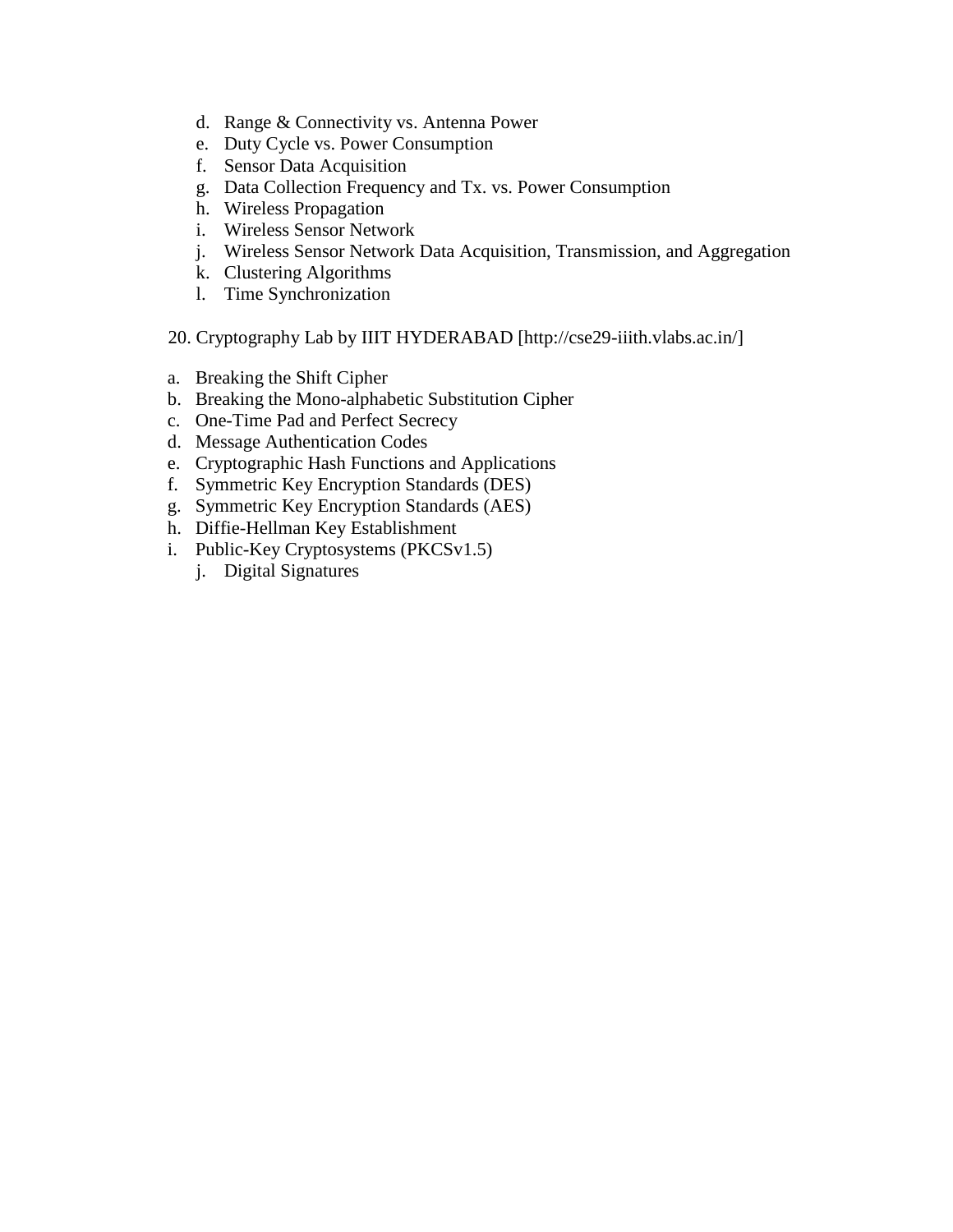- d. [Range & Connectivity vs. Antenna Power](http://vlab.amrita.edu/index.php?sub=78&brch=256&sim=1362&cnt=1)
- e. [Duty Cycle vs. Power Consumption](http://vlab.amrita.edu/index.php?sub=78&brch=256&sim=1397&cnt=3079)
- f. [Sensor Data Acquisition](http://vlab.amrita.edu/index.php?sub=78&brch=256&sim=1394&cnt=1)
- g. [Data Collection Frequency and Tx. vs. Power Consumption](http://vlab.amrita.edu/index.php?sub=78&brch=256&sim=1400&cnt=1)
- h. [Wireless Propagation](http://vlab.amrita.edu/index.php?sub=78&brch=256&sim=1363&cnt=1)
- i. [Wireless Sensor Network](http://vlab.amrita.edu/index.php?sub=78&brch=256&sim=1555&cnt=1)
- j. [Wireless Sensor Network Data Acquisition, Transmission, and Aggregation](http://vlab.amrita.edu/index.php?sub=78&brch=256&sim=1557&cnt=1)
- k. [Clustering Algorithms](http://vlab.amrita.edu/index.php?sub=78&brch=256&sim=1558&cnt=1)
- l. [Time Synchronization](http://vlab.amrita.edu/index.php?sub=78&brch=256&sim=1544&cnt=1)
- 20. Cryptography Lab by IIIT HYDERABAD [http://cse29-iiith.vlabs.ac.in/]
- a. [Breaking the Shift Cipher](http://cse29-iiith.vlabs.ac.in/exp1/Introduction.html?domain=Computer%20%20%20%20%20%20%20%20%20%20%20%20%20%20%20%20%20%20%20%20%20%20%20%20%20%20%20%20%20%20%20%20%20%20%20%20Science&lab=Cryptography%20%20%20%20%20%20%20%20%20%20%20%20%20%20%20%20%20%20%20%20%20%20%20%20%20%20%20%20%20%20%20%20%20%20%20%20Lab)
- b. [Breaking the Mono-alphabetic Substitution Cipher](http://cse29-iiith.vlabs.ac.in/exp2/Introduction.html?domain=Computer%20%20%20%20%20%20%20%20%20%20%20%20%20%20%20%20%20%20%20%20%20%20%20%20%20%20%20%20%20%20%20%20%20%20%20%20Science&lab=Cryptography%20%20%20%20%20%20%20%20%20%20%20%20%20%20%20%20%20%20%20%20%20%20%20%20%20%20%20%20%20%20%20%20%20%20%20%20Lab)
- c. [One-Time Pad and Perfect Secrecy](http://cse29-iiith.vlabs.ac.in/exp3/Introduction.html?domain=Computer%20%20%20%20%20%20%20%20%20%20%20%20%20%20%20%20%20%20%20%20%20%20%20%20%20%20%20%20%20%20%20%20%20%20%20%20Science&lab=Cryptography%20%20%20%20%20%20%20%20%20%20%20%20%20%20%20%20%20%20%20%20%20%20%20%20%20%20%20%20%20%20%20%20%20%20%20%20Lab)
- d. [Message Authentication Codes](http://cse29-iiith.vlabs.ac.in/exp4/Introduction.html?domain=Computer%20%20%20%20%20%20%20%20%20%20%20%20%20%20%20%20%20%20%20%20%20%20%20%20%20%20%20%20%20%20%20%20%20%20%20%20Science&lab=Cryptography%20%20%20%20%20%20%20%20%20%20%20%20%20%20%20%20%20%20%20%20%20%20%20%20%20%20%20%20%20%20%20%20%20%20%20%20Lab)
- e. [Cryptographic Hash Functions and Applications](http://cse29-iiith.vlabs.ac.in/exp5/Introduction.html?domain=Computer%20%20%20%20%20%20%20%20%20%20%20%20%20%20%20%20%20%20%20%20%20%20%20%20%20%20%20%20%20%20%20%20%20%20%20%20Science&lab=Cryptography%20%20%20%20%20%20%20%20%20%20%20%20%20%20%20%20%20%20%20%20%20%20%20%20%20%20%20%20%20%20%20%20%20%20%20%20Lab)
- f. [Symmetric Key Encryption Standards \(DES\)](http://cse29-iiith.vlabs.ac.in/exp6/Introduction.html?domain=Computer%20%20%20%20%20%20%20%20%20%20%20%20%20%20%20%20%20%20%20%20%20%20%20%20%20%20%20%20%20%20%20%20%20%20%20%20Science&lab=Cryptography%20%20%20%20%20%20%20%20%20%20%20%20%20%20%20%20%20%20%20%20%20%20%20%20%20%20%20%20%20%20%20%20%20%20%20%20Lab)
- g. [Symmetric Key Encryption Standards \(AES\)](http://cse29-iiith.vlabs.ac.in/exp7/Introduction.html?domain=Computer%20%20%20%20%20%20%20%20%20%20%20%20%20%20%20%20%20%20%20%20%20%20%20%20%20%20%20%20%20%20%20%20%20%20%20%20Science&lab=Cryptography%20%20%20%20%20%20%20%20%20%20%20%20%20%20%20%20%20%20%20%20%20%20%20%20%20%20%20%20%20%20%20%20%20%20%20%20Lab)
- h. [Diffie-Hellman Key Establishment](http://cse29-iiith.vlabs.ac.in/exp8/Introduction.html?domain=Computer%20%20%20%20%20%20%20%20%20%20%20%20%20%20%20%20%20%20%20%20%20%20%20%20%20%20%20%20%20%20%20%20%20%20%20%20Science&lab=Cryptography%20%20%20%20%20%20%20%20%20%20%20%20%20%20%20%20%20%20%20%20%20%20%20%20%20%20%20%20%20%20%20%20%20%20%20%20Lab)
- i. [Public-Key Cryptosystems \(PKCSv1.5\)](http://cse29-iiith.vlabs.ac.in/exp9/Introduction.html?domain=Computer%20%20%20%20%20%20%20%20%20%20%20%20%20%20%20%20%20%20%20%20%20%20%20%20%20%20%20%20%20%20%20%20%20%20%20%20Science&lab=Cryptography%20%20%20%20%20%20%20%20%20%20%20%20%20%20%20%20%20%20%20%20%20%20%20%20%20%20%20%20%20%20%20%20%20%20%20%20Lab)
	- j. [Digital Signatures](http://cse29-iiith.vlabs.ac.in/exp10/Introduction.html?domain=Computer%20Science&lab=Cryptography%20Lab)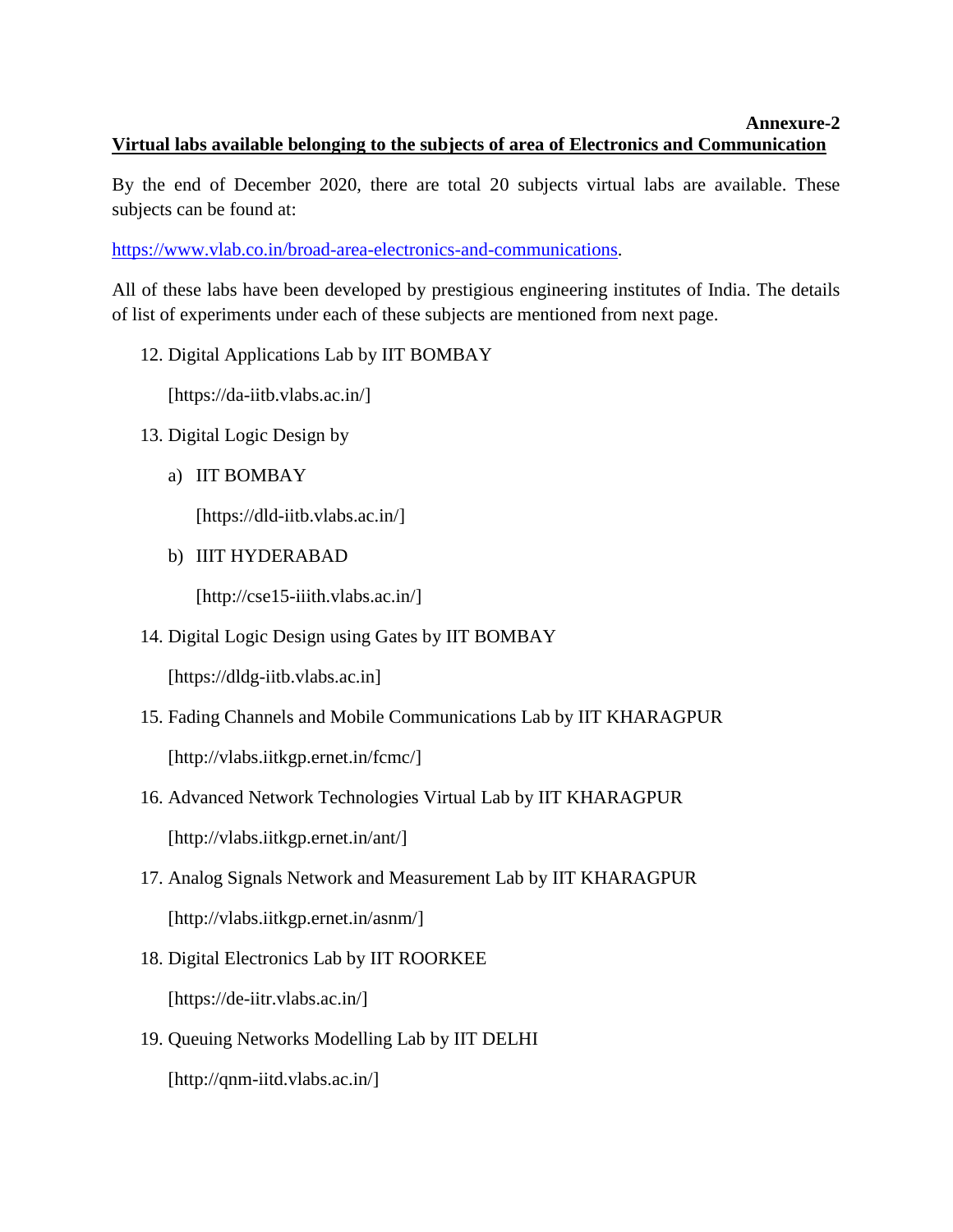#### **Annexure-2 Virtual labs available belonging to the subjects of area of Electronics and Communication**

By the end of December 2020, there are total 20 subjects virtual labs are available. These subjects can be found at:

[https://www.vlab.co.in/broad-area-electronics-and-communications.](https://www.vlab.co.in/broad-area-electronics-and-communications)

All of these labs have been developed by prestigious engineering institutes of India. The details of list of experiments under each of these subjects are mentioned from next page.

12. Digital Applications Lab by IIT BOMBAY

[https://da-iitb.vlabs.ac.in/]

- 13. Digital Logic Design by
	- a) IIT BOMBAY

[https://dld-iitb.vlabs.ac.in/]

b) IIIT HYDERABAD

[http://cse15-iiith.vlabs.ac.in/]

14. Digital Logic Design using Gates by IIT BOMBAY

[https://dldg-iitb.vlabs.ac.in]

- 15. Fading Channels and Mobile Communications Lab by IIT KHARAGPUR [http://vlabs.iitkgp.ernet.in/fcmc/]
- 16. Advanced Network Technologies Virtual Lab by IIT KHARAGPUR [http://vlabs.iitkgp.ernet.in/ant/]
- 17. Analog Signals Network and Measurement Lab by IIT KHARAGPUR [http://vlabs.iitkgp.ernet.in/asnm/]
- 18. Digital Electronics Lab by IIT ROORKEE [https://de-iitr.vlabs.ac.in/]
- 19. Queuing Networks Modelling Lab by IIT DELHI [http://qnm-iitd.vlabs.ac.in/]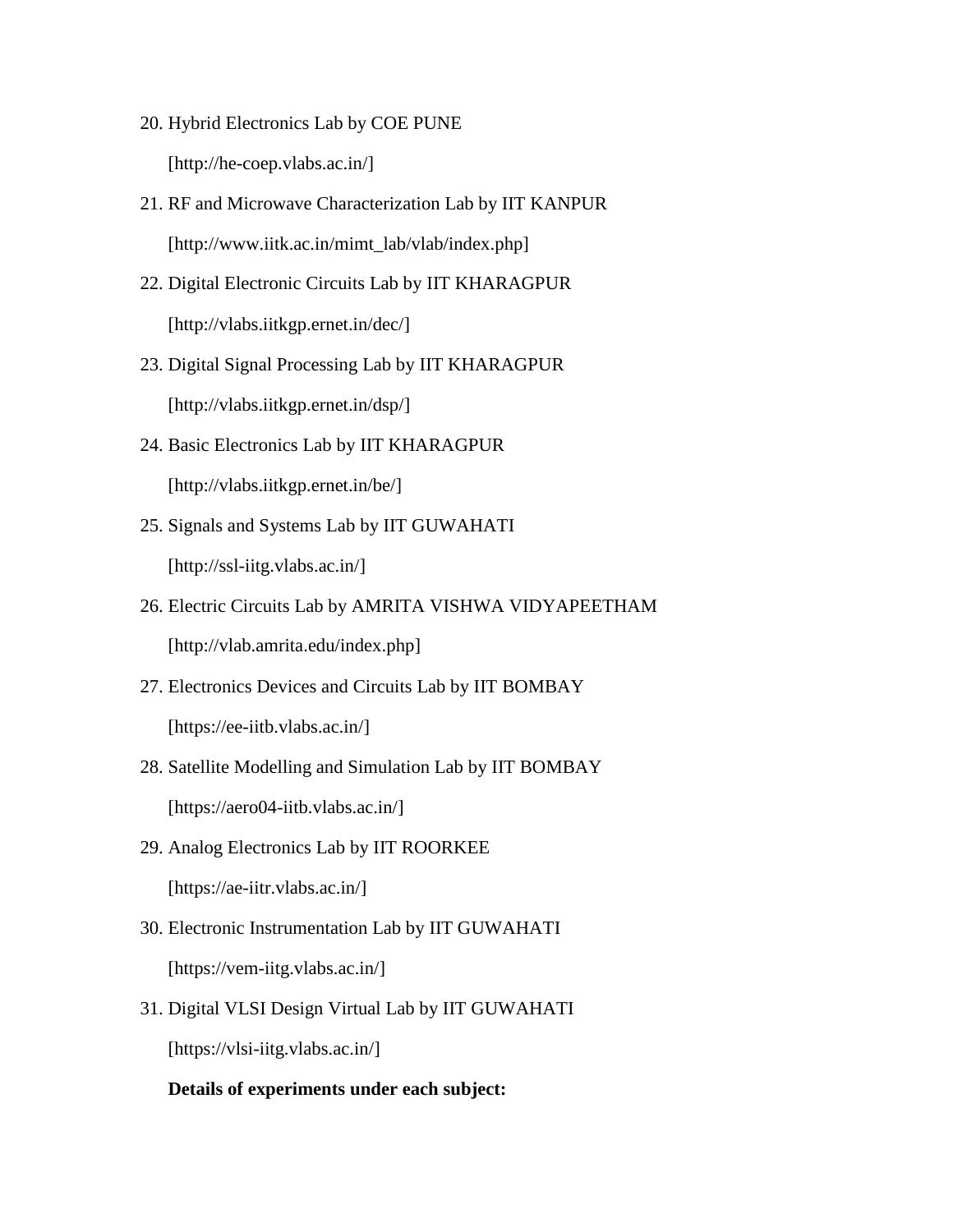- 20. Hybrid Electronics Lab by COE PUNE [http://he-coep.vlabs.ac.in/]
- 21. RF and Microwave Characterization Lab by IIT KANPUR [http://www.iitk.ac.in/mimt\_lab/vlab/index.php]
- 22. Digital Electronic Circuits Lab by IIT KHARAGPUR [http://vlabs.iitkgp.ernet.in/dec/]
- 23. Digital Signal Processing Lab by IIT KHARAGPUR [http://vlabs.iitkgp.ernet.in/dsp/]
- 24. Basic Electronics Lab by IIT KHARAGPUR [http://vlabs.iitkgp.ernet.in/be/]
- 25. Signals and Systems Lab by IIT GUWAHATI [http://ssl-iitg.vlabs.ac.in/]
- 26. Electric Circuits Lab by AMRITA VISHWA VIDYAPEETHAM [http://vlab.amrita.edu/index.php]
- 27. Electronics Devices and Circuits Lab by IIT BOMBAY [https://ee-iitb.vlabs.ac.in/]
- 28. Satellite Modelling and Simulation Lab by IIT BOMBAY [https://aero04-iitb.vlabs.ac.in/]
- 29. Analog Electronics Lab by IIT ROORKEE [https://ae-iitr.vlabs.ac.in/]
- 30. Electronic Instrumentation Lab by IIT GUWAHATI [https://vem-iitg.vlabs.ac.in/]
- 31. Digital VLSI Design Virtual Lab by IIT GUWAHATI [https://vlsi-iitg.vlabs.ac.in/]

#### **Details of experiments under each subject:**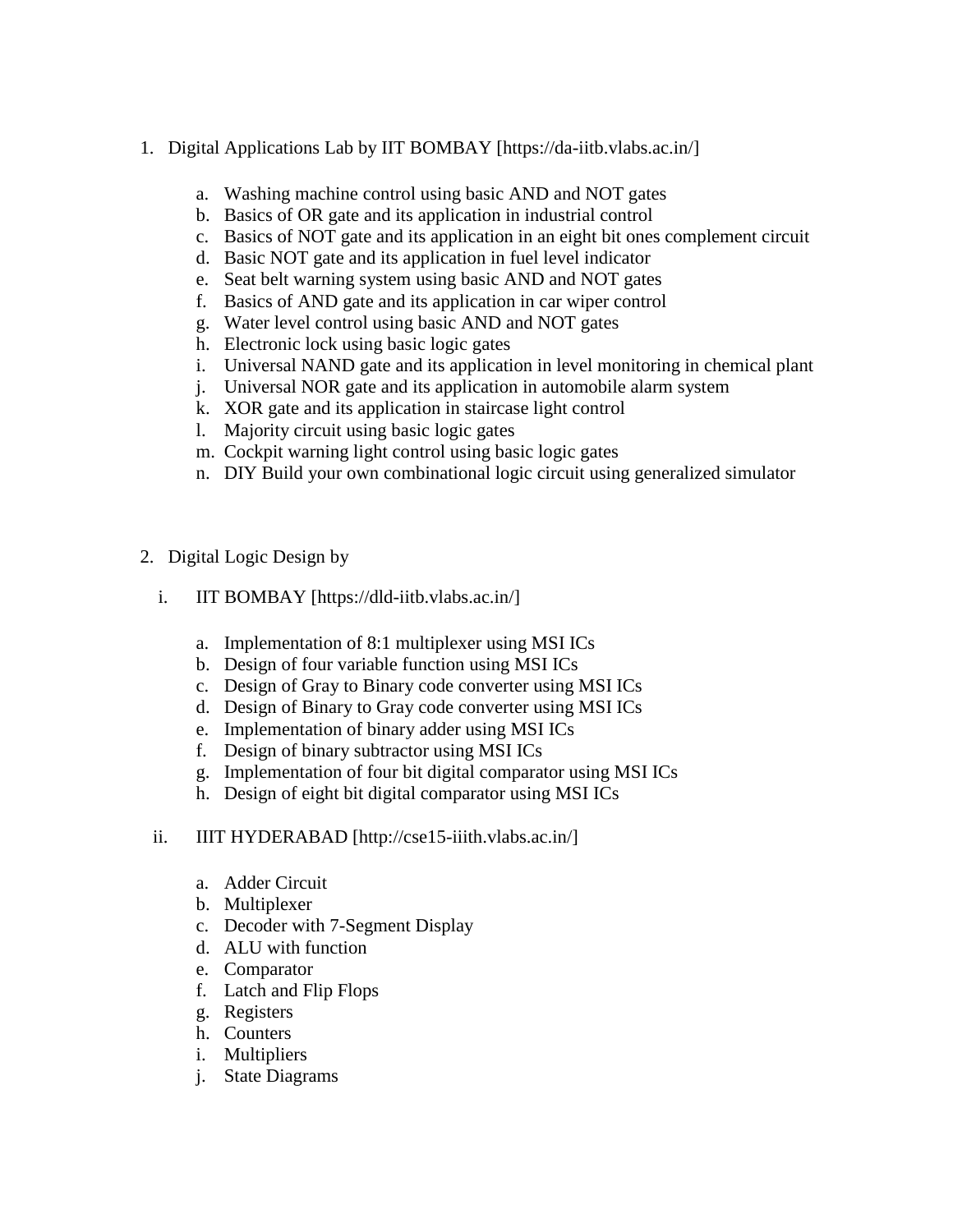- 1. Digital Applications Lab by IIT BOMBAY [https://da-iitb.vlabs.ac.in/]
	- a. Washing machine control using basic AND and NOT gates
	- b. [Basics of OR gate and its application in industrial control](http://da-iitb.vlabs.ac.in/digital-applications/exp/industrial-control)
	- c. [Basics of NOT gate and its application in an eight bit ones complement circuit](http://da-iitb.vlabs.ac.in/digital-applications/exp/eight-bit-ones-complement)
	- d. [Basic NOT gate and its application in fuel level indicator](http://da-iitb.vlabs.ac.in/digital-applications/exp/fuel-level-indicator)
	- e. [Seat belt warning system using basic AND and NOT gates](http://da-iitb.vlabs.ac.in/digital-applications/exp/seat-belt-warning-system)
	- f. [Basics of AND gate and its application in car wiper control](http://da-iitb.vlabs.ac.in/digital-applications/exp/car-wiper-control)
	- g. [Water level control using basic AND and NOT gates](http://da-iitb.vlabs.ac.in/digital-applications/exp/water-level-control)
	- h. [Electronic lock using basic logic gates](http://da-iitb.vlabs.ac.in/digital-applications/exp/electronic-lock)
	- i. [Universal NAND gate and its application in level monitoring in chemical plant](http://da-iitb.vlabs.ac.in/digital-applications/exp/level-monitoring-chemical-plant)
	- j. [Universal NOR gate and its application in automobile alarm system](http://da-iitb.vlabs.ac.in/digital-applications/exp/automobile-alarm-system)
	- k. [XOR gate and its application in staircase light control](http://da-iitb.vlabs.ac.in/digital-applications/exp/staircase-light-control)
	- l. [Majority circuit using basic logic gates](http://da-iitb.vlabs.ac.in/digital-applications/exp/majority-circuit)
	- m. [Cockpit warning light control using basic logic gates](http://da-iitb.vlabs.ac.in/digital-applications/exp/cockpit-warning-light-control)
	- n. [DIY Build your own combinational logic circuit using generalized simulator](http://da-iitb.vlabs.ac.in/digital-applications/exp/generalized-simulator)
- 2. Digital Logic Design by
	- i. IIT BOMBAY [https://dld-iitb.vlabs.ac.in/]
		- a. Implementation of 8:1 multiplexer using MSI ICs
		- b. Design of four variable function using MSI ICs
		- c. Design of Gray to Binary code converter using MSI ICs
		- d. Design of Binary to Gray code converter using MSI ICs
		- e. Implementation of binary adder using MSI ICs
		- f. Design of binary subtractor using MSI ICs
		- g. Implementation of four bit digital comparator using MSI ICs
		- h. Design of eight bit digital comparator using MSI ICs
	- ii. IIIT HYDERABAD [http://cse15-iiith.vlabs.ac.in/]
		- a. Adder Circuit
		- b. Multiplexer
		- c. Decoder with 7-Segment Display
		- d. ALU with function
		- e. Comparator
		- f. Latch and Flip Flops
		- g. Registers
		- h. Counters
		- i. Multipliers
		- j. State Diagrams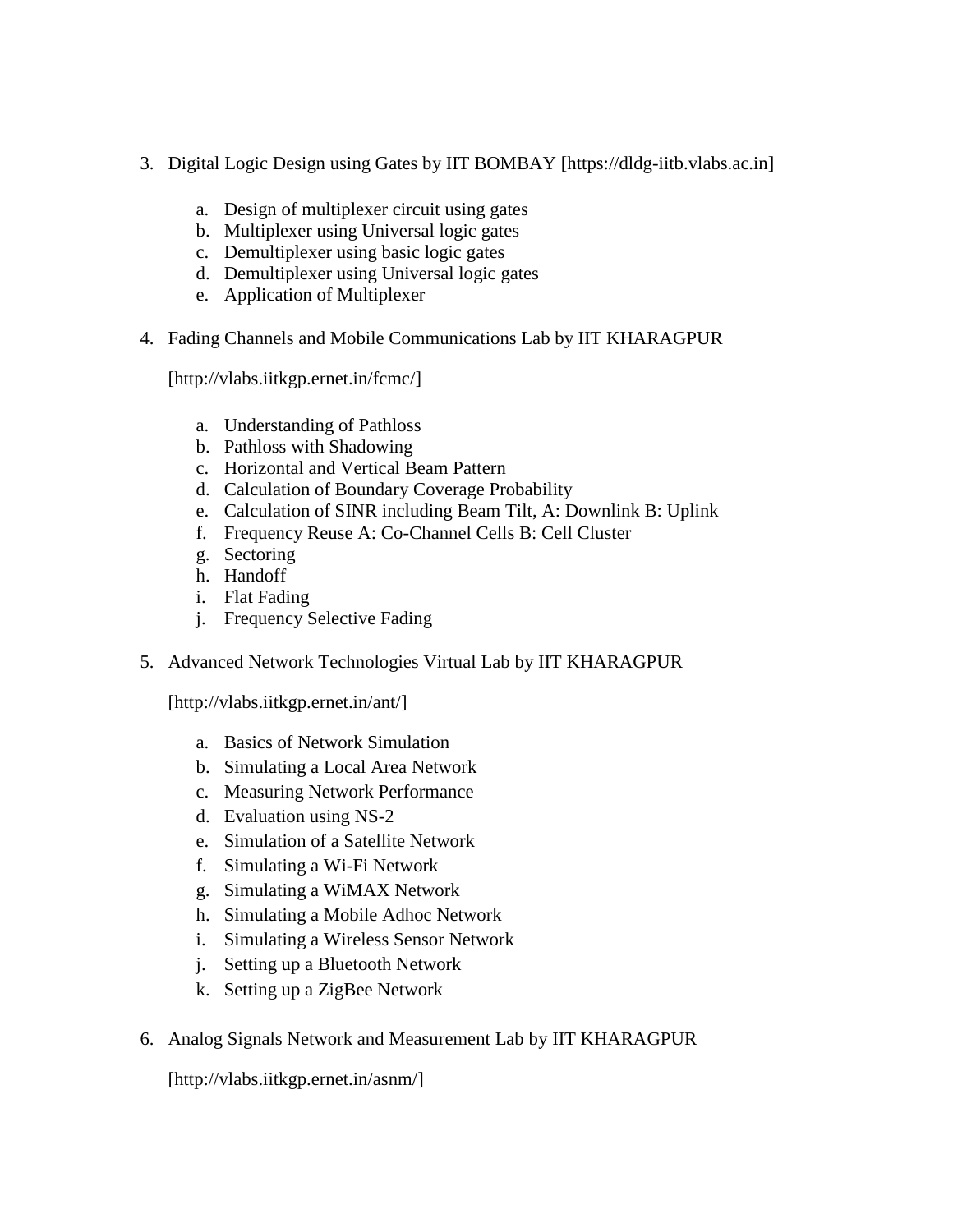- 3. Digital Logic Design using Gates by IIT BOMBAY [https://dldg-iitb.vlabs.ac.in]
	- a. Design of multiplexer circuit using gates
	- b. Multiplexer using Universal logic gates
	- c. Demultiplexer using basic logic gates
	- d. Demultiplexer using Universal logic gates
	- e. Application of Multiplexer
- 4. Fading Channels and Mobile Communications Lab by IIT KHARAGPUR

[http://vlabs.iitkgp.ernet.in/fcmc/]

- a. Understanding of Pathloss
- b. Pathloss with Shadowing
- c. Horizontal and Vertical Beam Pattern
- d. Calculation of Boundary Coverage Probability
- e. Calculation of SINR including Beam Tilt, A: Downlink B: Uplink
- f. Frequency Reuse A: Co-Channel Cells B: Cell Cluster
- g. Sectoring
- h. Handoff
- i. Flat Fading
- j. Frequency Selective Fading
- 5. Advanced Network Technologies Virtual Lab by IIT KHARAGPUR

[http://vlabs.iitkgp.ernet.in/ant/]

- a. Basics of Network Simulation
- b. Simulating a Local Area Network
- c. Measuring Network Performance
- d. Evaluation using NS-2
- e. Simulation of a Satellite Network
- f. Simulating a Wi-Fi Network
- g. Simulating a WiMAX Network
- h. Simulating a Mobile Adhoc Network
- i. Simulating a Wireless Sensor Network
- j. Setting up a Bluetooth Network
- k. Setting up a ZigBee Network
- 6. Analog Signals Network and Measurement Lab by IIT KHARAGPUR

[http://vlabs.iitkgp.ernet.in/asnm/]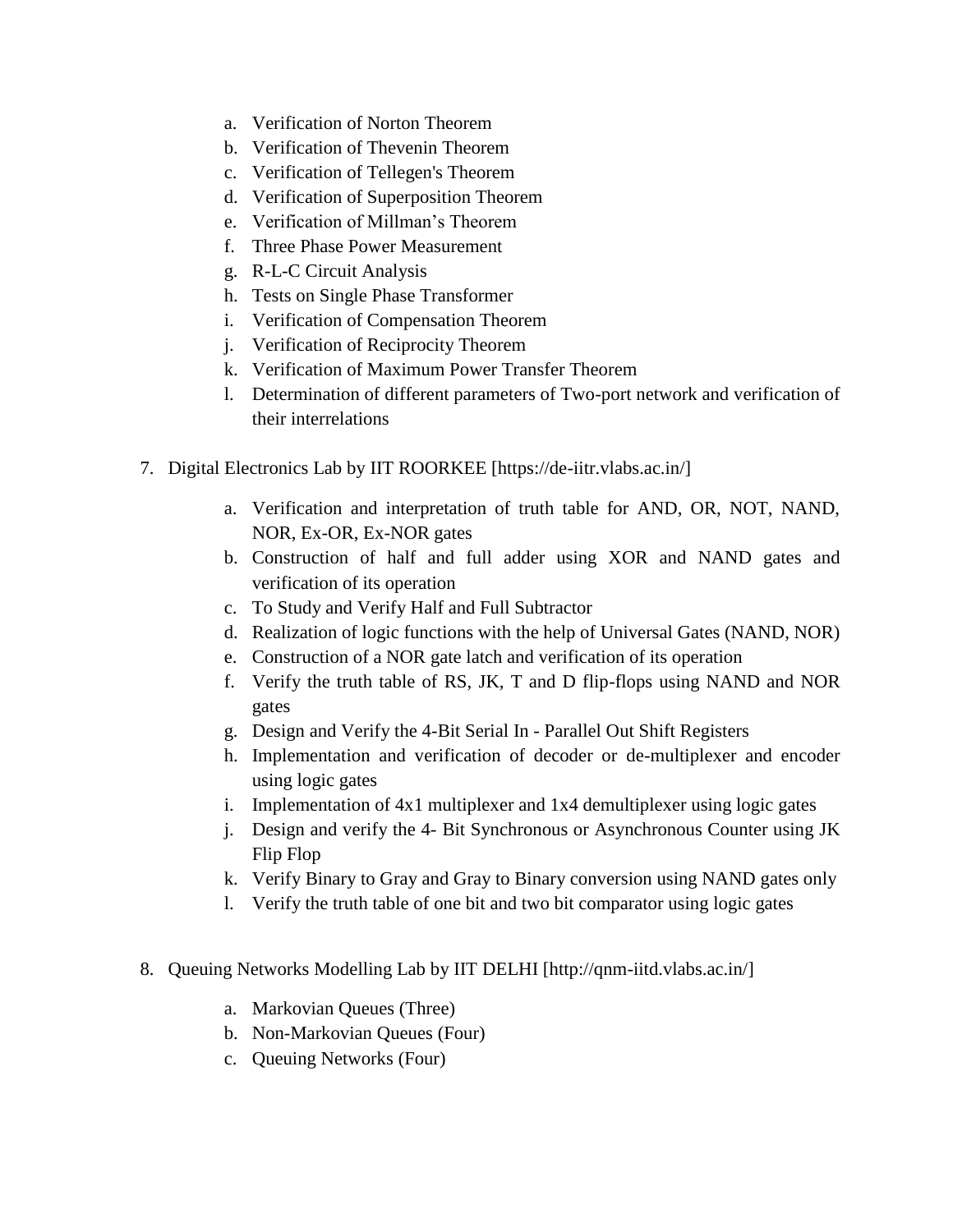- a. Verification of Norton Theorem
- b. Verification of Thevenin Theorem
- c. Verification of Tellegen's Theorem
- d. Verification of Superposition Theorem
- e. Verification of Millman's Theorem
- f. Three Phase Power Measurement
- g. R-L-C Circuit Analysis
- h. Tests on Single Phase Transformer
- i. Verification of Compensation Theorem
- j. Verification of Reciprocity Theorem
- k. Verification of Maximum Power Transfer Theorem
- l. Determination of different parameters of Two-port network and verification of their interrelations
- 7. Digital Electronics Lab by IIT ROORKEE [https://de-iitr.vlabs.ac.in/]
	- a. Verification and interpretation of truth table for AND, OR, NOT, NAND, NOR, Ex-OR, Ex-NOR gates
	- b. Construction of half and full adder using XOR and NAND gates and verification of its operation
	- c. To Study and Verify Half and Full Subtractor
	- d. Realization of logic functions with the help of Universal Gates (NAND, NOR)
	- e. Construction of a NOR gate latch and verification of its operation
	- f. Verify the truth table of RS, JK, T and D flip-flops using NAND and NOR gates
	- g. Design and Verify the 4-Bit Serial In Parallel Out Shift Registers
	- h. Implementation and verification of decoder or de-multiplexer and encoder using logic gates
	- i. Implementation of  $4x1$  multiplexer and  $1x4$  demultiplexer using logic gates
	- j. Design and verify the 4- Bit Synchronous or Asynchronous Counter using JK Flip Flop
	- k. Verify Binary to Gray and Gray to Binary conversion using NAND gates only
	- l. Verify the truth table of one bit and two bit comparator using logic gates
- 8. Queuing Networks Modelling Lab by IIT DELHI [http://qnm-iitd.vlabs.ac.in/]
	- a. Markovian Queues (Three)
	- b. Non-Markovian Queues (Four)
	- c. Queuing Networks (Four)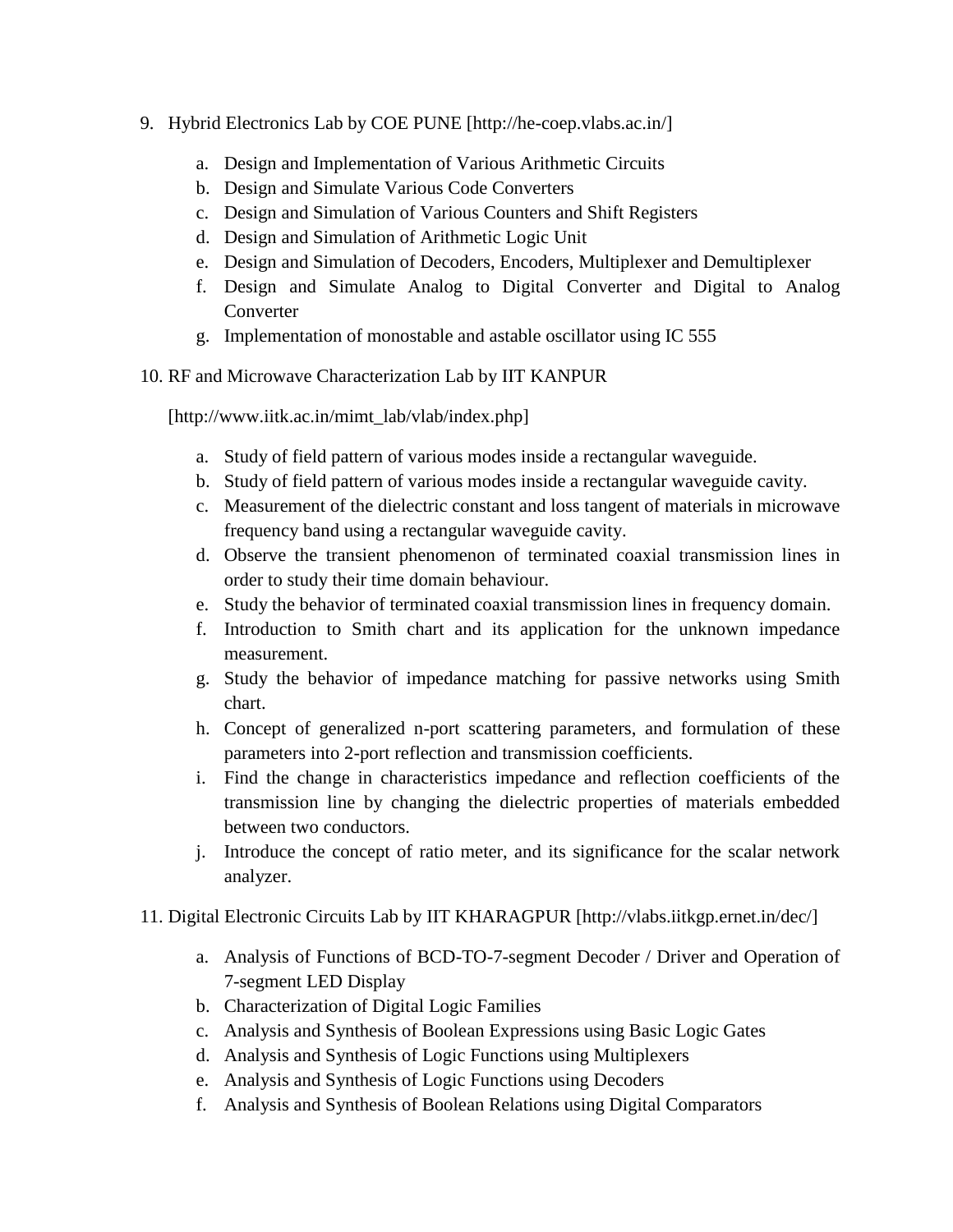- 9. Hybrid Electronics Lab by COE PUNE [http://he-coep.vlabs.ac.in/]
	- a. Design and Implementation of Various Arithmetic Circuits
	- b. Design and Simulate Various Code Converters
	- c. Design and Simulation of Various Counters and Shift Registers
	- d. Design and Simulation of Arithmetic Logic Unit
	- e. Design and Simulation of Decoders, Encoders, Multiplexer and Demultiplexer
	- f. Design and Simulate Analog to Digital Converter and Digital to Analog Converter
	- g. Implementation of monostable and astable oscillator using IC 555
- 10. RF and Microwave Characterization Lab by IIT KANPUR

[http://www.iitk.ac.in/mimt\_lab/vlab/index.php]

- a. Study of field pattern of various modes inside a rectangular waveguide.
- b. Study of field pattern of various modes inside a rectangular waveguide cavity.
- c. Measurement of the dielectric constant and loss tangent of materials in microwave frequency band using a rectangular waveguide cavity.
- d. Observe the transient phenomenon of terminated coaxial transmission lines in order to study their time domain behaviour.
- e. Study the behavior of terminated coaxial transmission lines in frequency domain.
- f. Introduction to Smith chart and its application for the unknown impedance measurement.
- g. Study the behavior of impedance matching for passive networks using Smith chart.
- h. Concept of generalized n-port scattering parameters, and formulation of these parameters into 2-port reflection and transmission coefficients.
- i. Find the change in characteristics impedance and reflection coefficients of the transmission line by changing the dielectric properties of materials embedded between two conductors.
- j. Introduce the concept of ratio meter, and its significance for the scalar network analyzer.
- 11. Digital Electronic Circuits Lab by IIT KHARAGPUR [http://vlabs.iitkgp.ernet.in/dec/]
	- a. Analysis of Functions of BCD-TO-7-segment Decoder / Driver and Operation of 7-segment LED Display
	- b. Characterization of Digital Logic Families
	- c. Analysis and Synthesis of Boolean Expressions using Basic Logic Gates
	- d. Analysis and Synthesis of Logic Functions using Multiplexers
	- e. Analysis and Synthesis of Logic Functions using Decoders
	- f. Analysis and Synthesis of Boolean Relations using Digital Comparators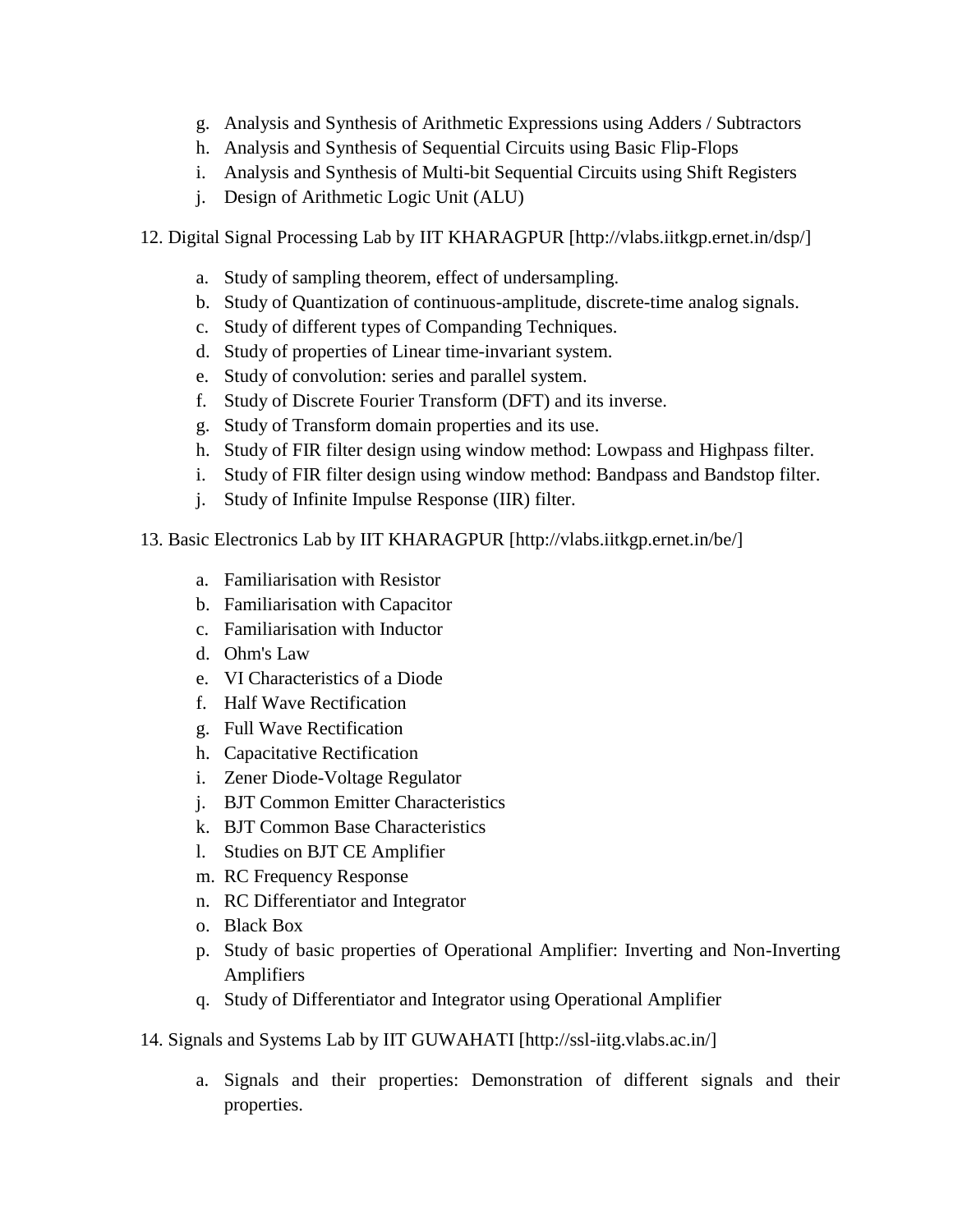- g. Analysis and Synthesis of Arithmetic Expressions using Adders / Subtractors
- h. Analysis and Synthesis of Sequential Circuits using Basic Flip-Flops
- i. Analysis and Synthesis of Multi-bit Sequential Circuits using Shift Registers
- j. Design of Arithmetic Logic Unit (ALU)
- 12. Digital Signal Processing Lab by IIT KHARAGPUR [http://vlabs.iitkgp.ernet.in/dsp/]
	- a. Study of sampling theorem, effect of undersampling.
	- b. Study of Quantization of continuous-amplitude, discrete-time analog signals.
	- c. Study of different types of Companding Techniques.
	- d. Study of properties of Linear time-invariant system.
	- e. Study of convolution: series and parallel system.
	- f. Study of Discrete Fourier Transform (DFT) and its inverse.
	- g. Study of Transform domain properties and its use.
	- h. Study of FIR filter design using window method: Lowpass and Highpass filter.
	- i. Study of FIR filter design using window method: Bandpass and Bandstop filter.
	- j. Study of Infinite Impulse Response (IIR) filter.
- 13. Basic Electronics Lab by IIT KHARAGPUR [http://vlabs.iitkgp.ernet.in/be/]
	- a. Familiarisation with Resistor
	- b. Familiarisation with Capacitor
	- c. Familiarisation with Inductor
	- d. Ohm's Law
	- e. VI Characteristics of a Diode
	- f. Half Wave Rectification
	- g. Full Wave Rectification
	- h. Capacitative Rectification
	- i. Zener Diode-Voltage Regulator
	- j. BJT Common Emitter Characteristics
	- k. BJT Common Base Characteristics
	- l. Studies on BJT CE Amplifier
	- m. RC Frequency Response
	- n. RC Differentiator and Integrator
	- o. Black Box
	- p. Study of basic properties of Operational Amplifier: Inverting and Non-Inverting Amplifiers
	- q. Study of Differentiator and Integrator using Operational Amplifier
- 14. Signals and Systems Lab by IIT GUWAHATI [http://ssl-iitg.vlabs.ac.in/]
	- a. Signals and their properties: Demonstration of different signals and their properties.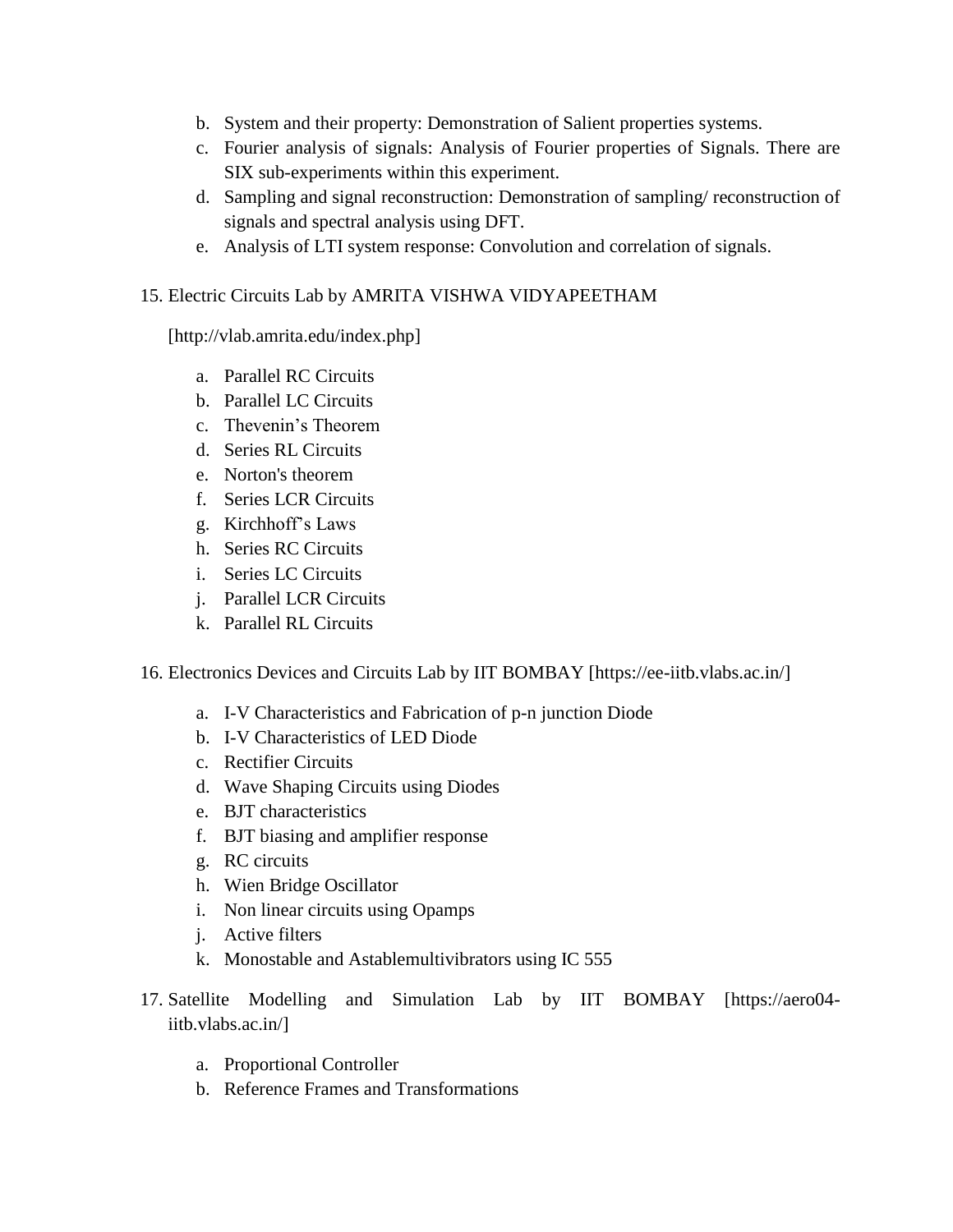- b. System and their property: Demonstration of Salient properties systems.
- c. Fourier analysis of signals: Analysis of Fourier properties of Signals. There are SIX sub-experiments within this experiment.
- d. Sampling and signal reconstruction: Demonstration of sampling/ reconstruction of signals and spectral analysis using DFT.
- e. Analysis of LTI system response: Convolution and correlation of signals.

# 15. Electric Circuits Lab by AMRITA VISHWA VIDYAPEETHAM

[http://vlab.amrita.edu/index.php]

- a. Parallel RC Circuits
- b. Parallel LC Circuits
- c. Thevenin's Theorem
- d. Series RL Circuits
- e. Norton's theorem
- f. Series LCR Circuits
- g. Kirchhoff's Laws
- h. Series RC Circuits
- i. Series LC Circuits
- j. Parallel LCR Circuits
- k. Parallel RL Circuits
- 16. Electronics Devices and Circuits Lab by IIT BOMBAY [https://ee-iitb.vlabs.ac.in/]
	- a. I-V Characteristics and Fabrication of p-n junction Diode
	- b. I-V Characteristics of LED Diode
	- c. Rectifier Circuits
	- d. Wave Shaping Circuits using Diodes
	- e. BJT characteristics
	- f. BJT biasing and amplifier response
	- g. RC circuits
	- h. Wien Bridge Oscillator
	- i. Non linear circuits using Opamps
	- j. Active filters
	- k. Monostable and Astablemultivibrators using IC 555
- 17. Satellite Modelling and Simulation Lab by IIT BOMBAY [https://aero04 iitb.vlabs.ac.in/]
	- a. Proportional Controller
	- b. Reference Frames and Transformations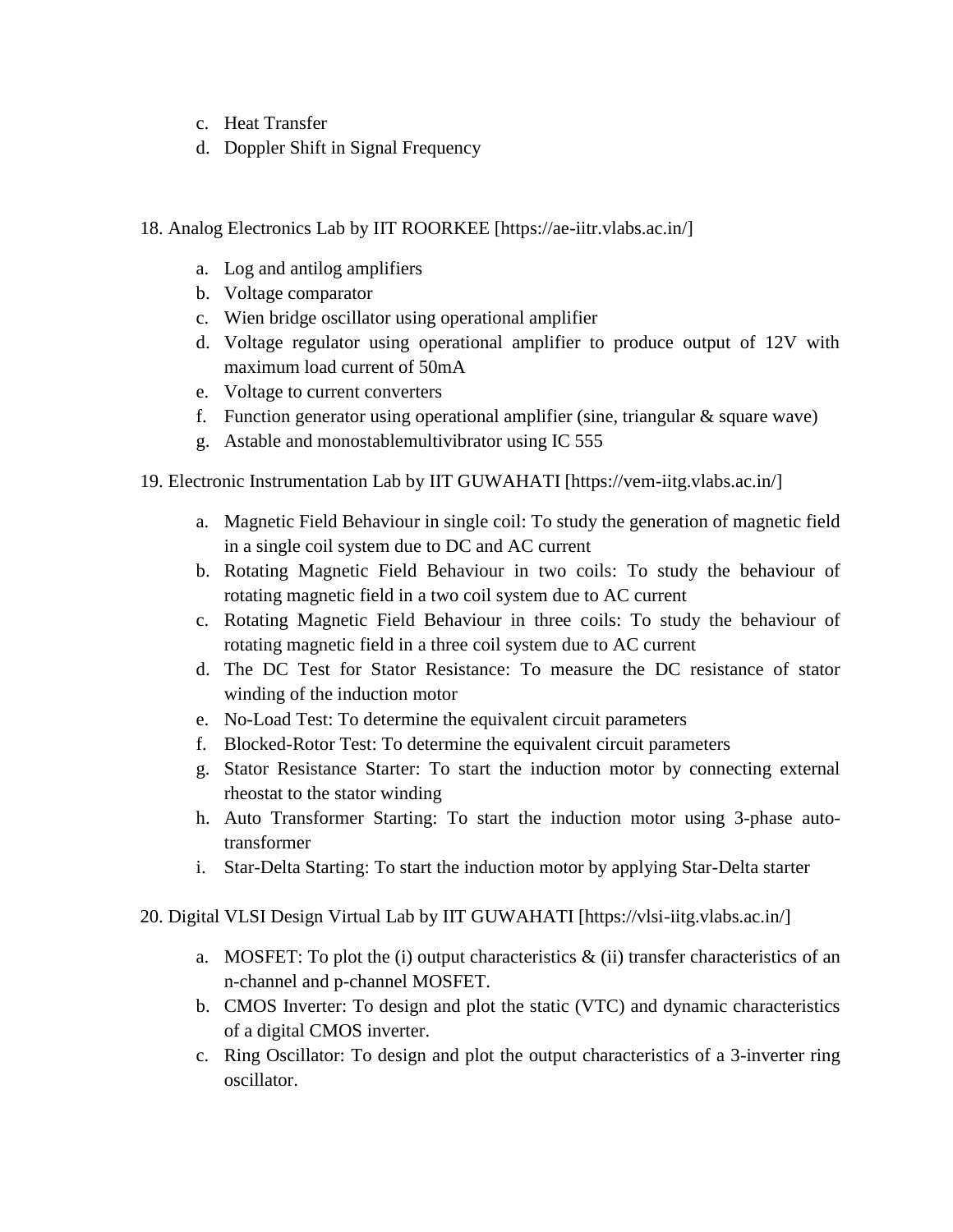- c. Heat Transfer
- d. Doppler Shift in Signal Frequency
- 18. Analog Electronics Lab by IIT ROORKEE [https://ae-iitr.vlabs.ac.in/]
	- a. Log and antilog amplifiers
	- b. Voltage comparator
	- c. Wien bridge oscillator using operational amplifier
	- d. Voltage regulator using operational amplifier to produce output of 12V with maximum load current of 50mA
	- e. Voltage to current converters
	- f. Function generator using operational amplifier (sine, triangular  $\&$  square wave)
	- g. Astable and monostablemultivibrator using IC 555
- 19. Electronic Instrumentation Lab by IIT GUWAHATI [https://vem-iitg.vlabs.ac.in/]
	- a. Magnetic Field Behaviour in single coil: To study the generation of magnetic field in a single coil system due to DC and AC current
	- b. Rotating Magnetic Field Behaviour in two coils: To study the behaviour of rotating magnetic field in a two coil system due to AC current
	- c. Rotating Magnetic Field Behaviour in three coils: To study the behaviour of rotating magnetic field in a three coil system due to AC current
	- d. The DC Test for Stator Resistance: To measure the DC resistance of stator winding of the induction motor
	- e. No-Load Test: To determine the equivalent circuit parameters
	- f. Blocked-Rotor Test: To determine the equivalent circuit parameters
	- g. Stator Resistance Starter: To start the induction motor by connecting external rheostat to the stator winding
	- h. Auto Transformer Starting: To start the induction motor using 3-phase autotransformer
	- i. Star-Delta Starting: To start the induction motor by applying Star-Delta starter
- 20. Digital VLSI Design Virtual Lab by IIT GUWAHATI [https://vlsi-iitg.vlabs.ac.in/]
	- a. MOSFET: To plot the (i) output characteristics  $\&$  (ii) transfer characteristics of an n-channel and p-channel MOSFET.
	- b. CMOS Inverter: To design and plot the static (VTC) and dynamic characteristics of a digital CMOS inverter.
	- c. Ring Oscillator: To design and plot the output characteristics of a 3-inverter ring oscillator.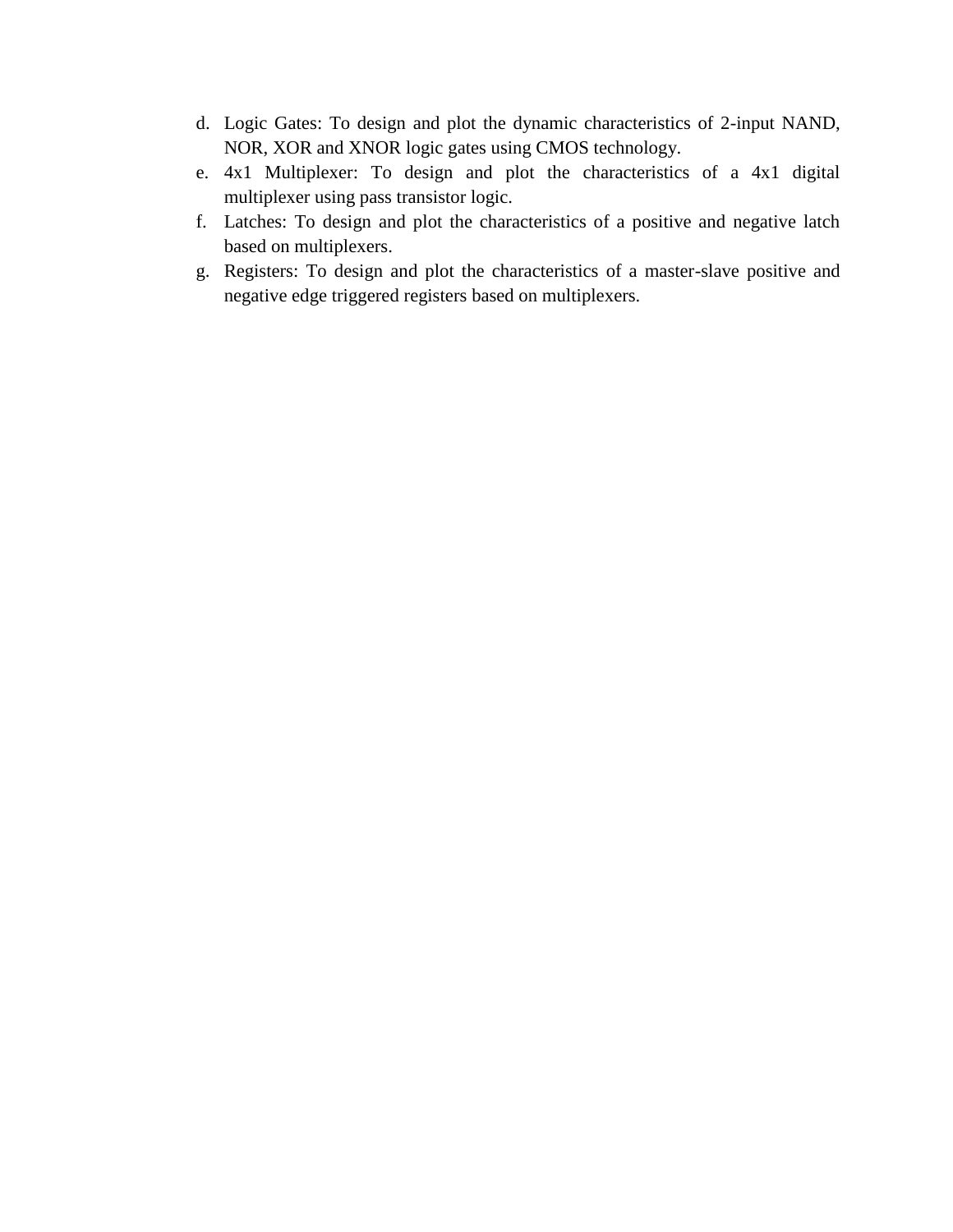- d. Logic Gates: To design and plot the dynamic characteristics of 2-input NAND, NOR, XOR and XNOR logic gates using CMOS technology.
- e. 4x1 Multiplexer: To design and plot the characteristics of a 4x1 digital multiplexer using pass transistor logic.
- f. Latches: To design and plot the characteristics of a positive and negative latch based on multiplexers.
- g. Registers: To design and plot the characteristics of a master-slave positive and negative edge triggered registers based on multiplexers.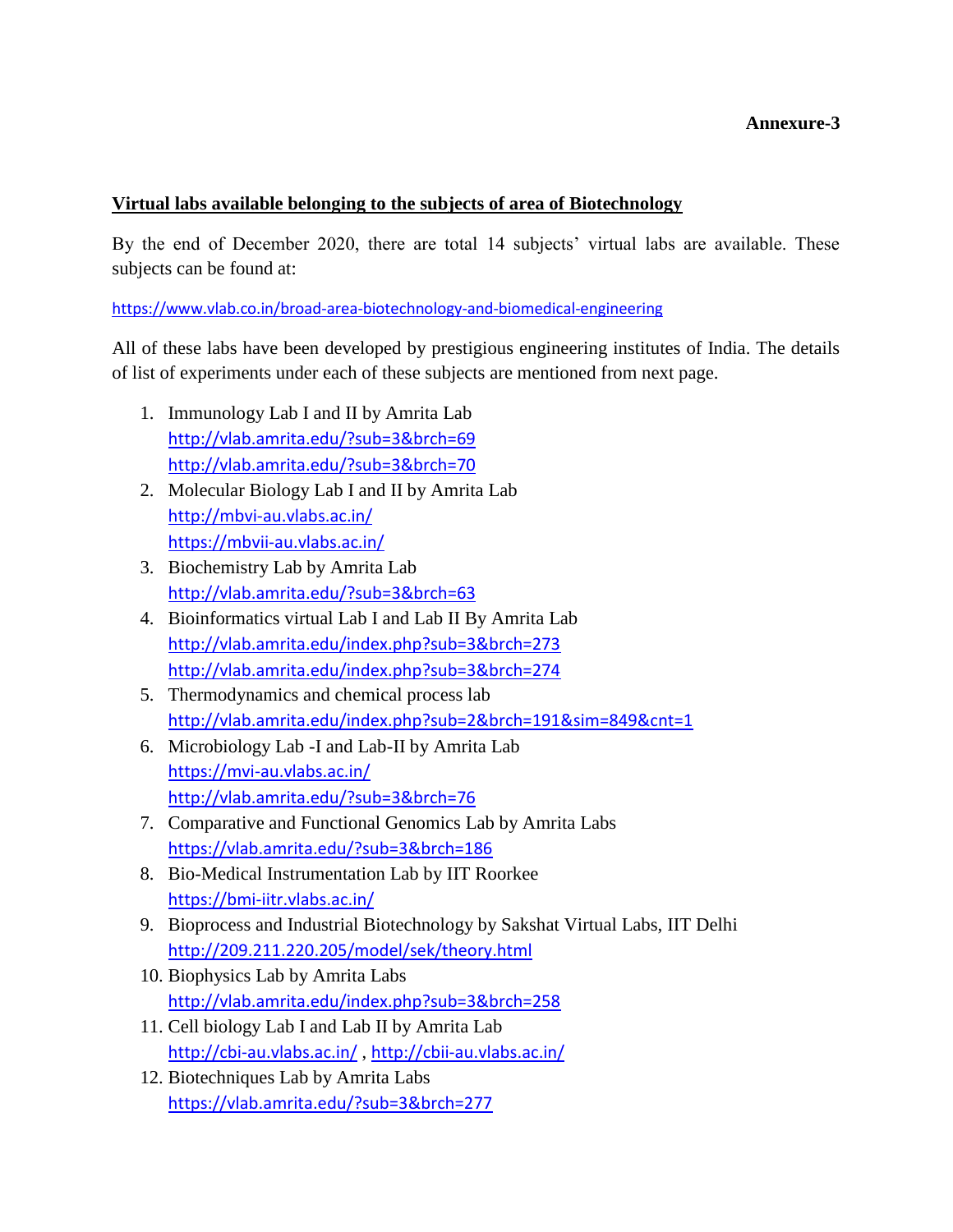# **Annexure-3**

#### **Virtual labs available belonging to the subjects of area of Biotechnology**

By the end of December 2020, there are total 14 subjects' virtual labs are available. These subjects can be found at:

<https://www.vlab.co.in/broad-area-biotechnology-and-biomedical-engineering>

All of these labs have been developed by prestigious engineering institutes of India. The details of list of experiments under each of these subjects are mentioned from next page.

- 1. Immunology Lab I and II by Amrita Lab <http://vlab.amrita.edu/?sub=3&brch=69> <http://vlab.amrita.edu/?sub=3&brch=70>
- 2. Molecular Biology Lab I and II by Amrita Lab <http://mbvi-au.vlabs.ac.in/> <https://mbvii-au.vlabs.ac.in/>
- 3. Biochemistry Lab by Amrita Lab <http://vlab.amrita.edu/?sub=3&brch=63>
- 4. Bioinformatics virtual Lab I and Lab II By Amrita Lab <http://vlab.amrita.edu/index.php?sub=3&brch=273> <http://vlab.amrita.edu/index.php?sub=3&brch=274>
- 5. Thermodynamics and chemical process lab <http://vlab.amrita.edu/index.php?sub=2&brch=191&sim=849&cnt=1>
- 6. Microbiology Lab -I and Lab-II by Amrita Lab <https://mvi-au.vlabs.ac.in/> <http://vlab.amrita.edu/?sub=3&brch=76>
- 7. Comparative and Functional Genomics Lab by Amrita Labs <https://vlab.amrita.edu/?sub=3&brch=186>
- 8. Bio-Medical Instrumentation Lab by IIT Roorkee <https://bmi-iitr.vlabs.ac.in/>
- 9. Bioprocess and Industrial Biotechnology by Sakshat Virtual Labs, IIT Delhi <http://209.211.220.205/model/sek/theory.html>
- 10. Biophysics Lab by Amrita Labs <http://vlab.amrita.edu/index.php?sub=3&brch=258>
- 11. Cell biology Lab I and Lab II by Amrita Lab <http://cbi-au.vlabs.ac.in/> , <http://cbii-au.vlabs.ac.in/>
- 12. Biotechniques Lab by Amrita Labs <https://vlab.amrita.edu/?sub=3&brch=277>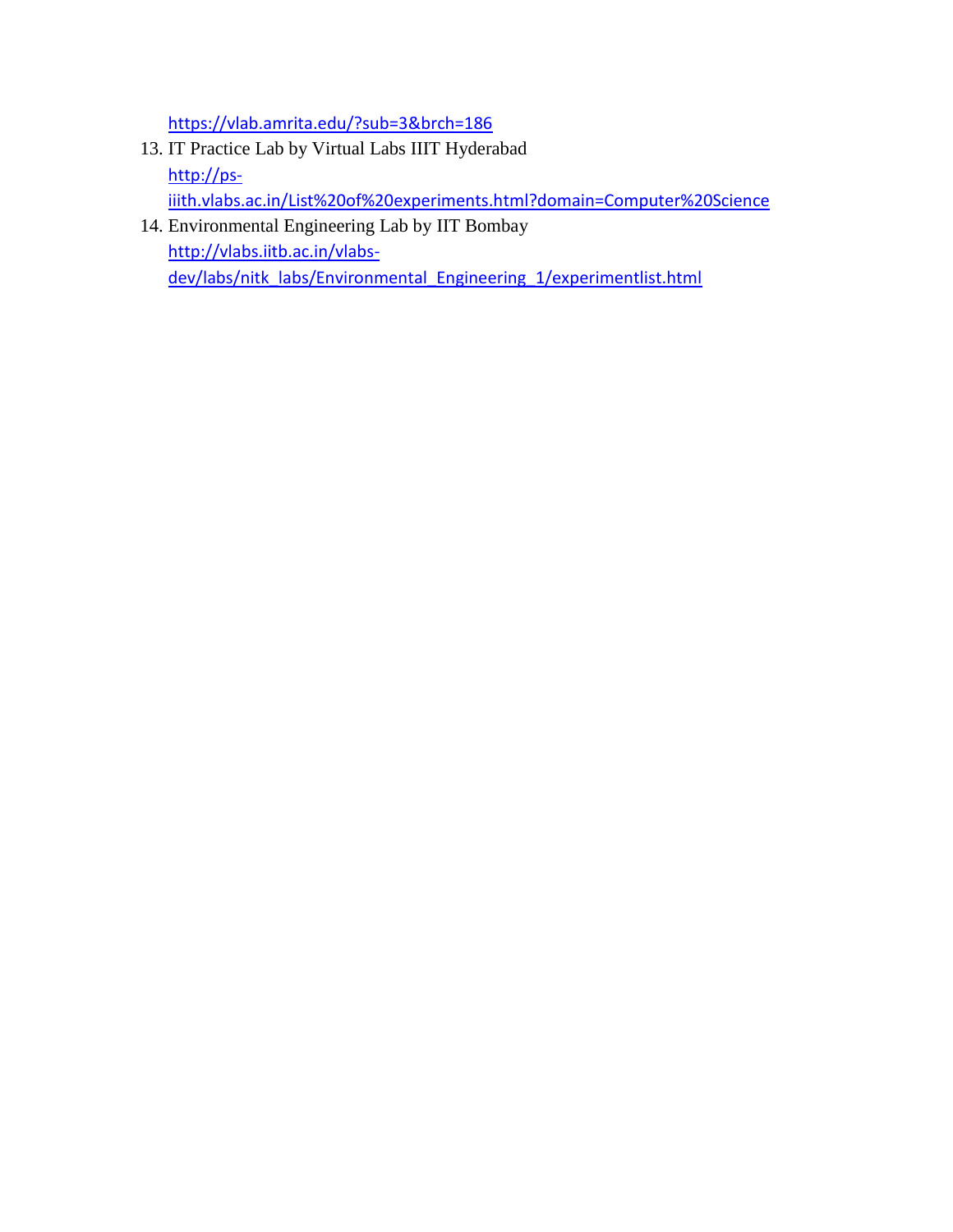<https://vlab.amrita.edu/?sub=3&brch=186>

- 13. IT Practice Lab by Virtual Labs IIIT Hyderabad [http://ps](http://ps-iiith.vlabs.ac.in/List%20of%20experiments.html?domain=Computer%20Science)[iiith.vlabs.ac.in/List%20of%20experiments.html?domain=Computer%20Science](http://ps-iiith.vlabs.ac.in/List%20of%20experiments.html?domain=Computer%20Science)
- 14. Environmental Engineering Lab by IIT Bombay [http://vlabs.iitb.ac.in/vlabs](http://vlabs.iitb.ac.in/vlabs-dev/labs/nitk_labs/Environmental_Engineering_1/experimentlist.html)[dev/labs/nitk\\_labs/Environmental\\_Engineering\\_1/experimentlist.html](http://vlabs.iitb.ac.in/vlabs-dev/labs/nitk_labs/Environmental_Engineering_1/experimentlist.html)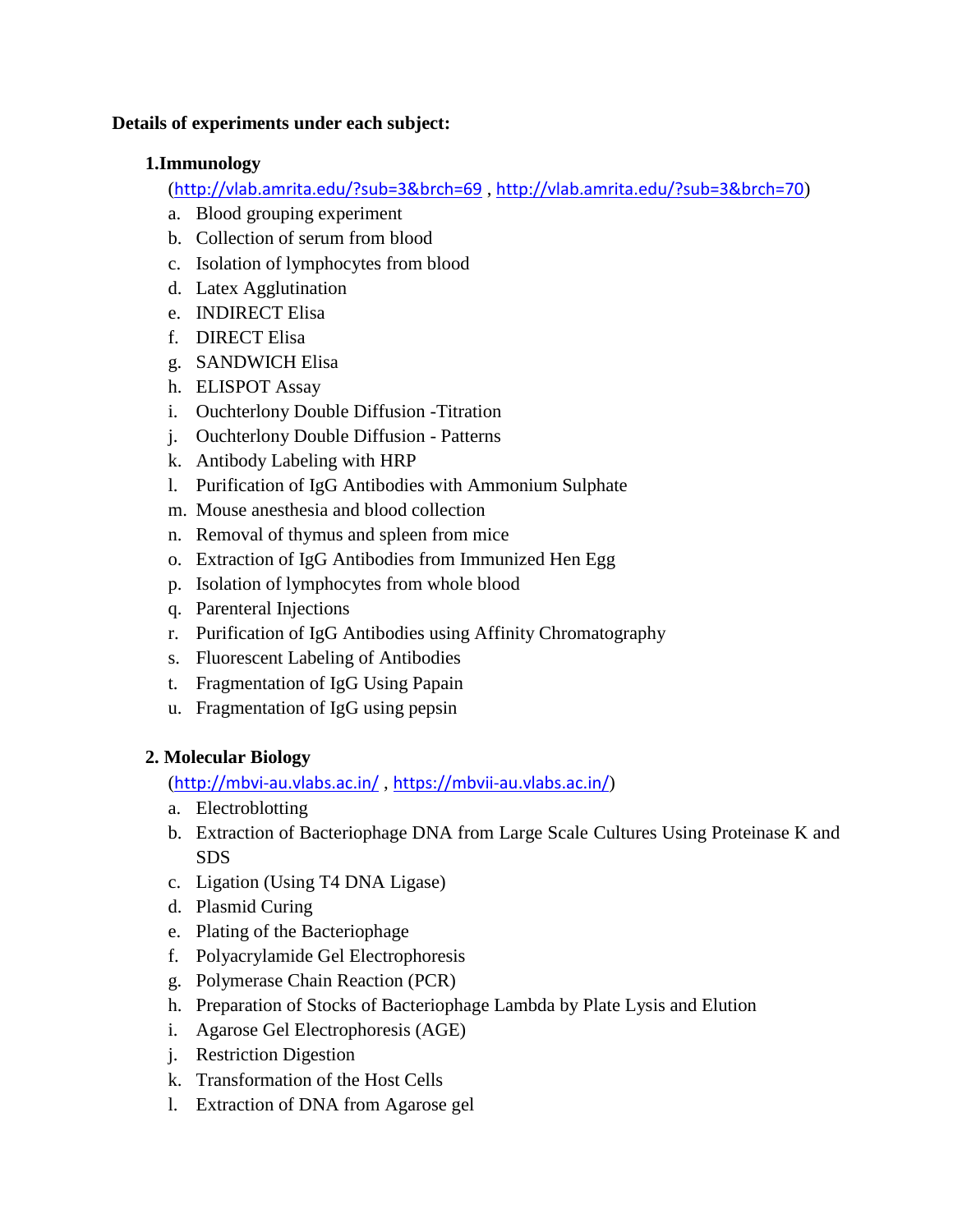# **Details of experiments under each subject:**

# **1.Immunology**

(<http://vlab.amrita.edu/?sub=3&brch=69> , <http://vlab.amrita.edu/?sub=3&brch=70>)

- a. Blood grouping experiment
- b. Collection of serum from blood
- c. Isolation of lymphocytes from blood
- d. Latex Agglutination
- e. INDIRECT Elisa
- f. DIRECT Elisa
- g. SANDWICH Elisa
- h. ELISPOT Assay
- i. Ouchterlony Double Diffusion -Titration
- j. Ouchterlony Double Diffusion Patterns
- k. Antibody Labeling with HRP
- l. Purification of IgG Antibodies with Ammonium Sulphate
- m. Mouse anesthesia and blood collection
- n. Removal of thymus and spleen from mice
- o. Extraction of IgG Antibodies from Immunized Hen Egg
- p. Isolation of lymphocytes from whole blood
- q. Parenteral Injections
- r. Purification of IgG Antibodies using Affinity Chromatography
- s. Fluorescent Labeling of Antibodies
- t. Fragmentation of IgG Using Papain
- u. Fragmentation of IgG using pepsin

# **2. Molecular Biology**

(<http://mbvi-au.vlabs.ac.in/> , <https://mbvii-au.vlabs.ac.in/>)

- a. Electroblotting
- b. Extraction of Bacteriophage DNA from Large Scale Cultures Using Proteinase K and SDS
- c. Ligation (Using T4 DNA Ligase)
- d. Plasmid Curing
- e. Plating of the Bacteriophage
- f. Polyacrylamide Gel Electrophoresis
- g. Polymerase Chain Reaction (PCR)
- h. Preparation of Stocks of Bacteriophage Lambda by Plate Lysis and Elution
- i. Agarose Gel Electrophoresis (AGE)
- j. Restriction Digestion
- k. Transformation of the Host Cells
- l. Extraction of DNA from Agarose gel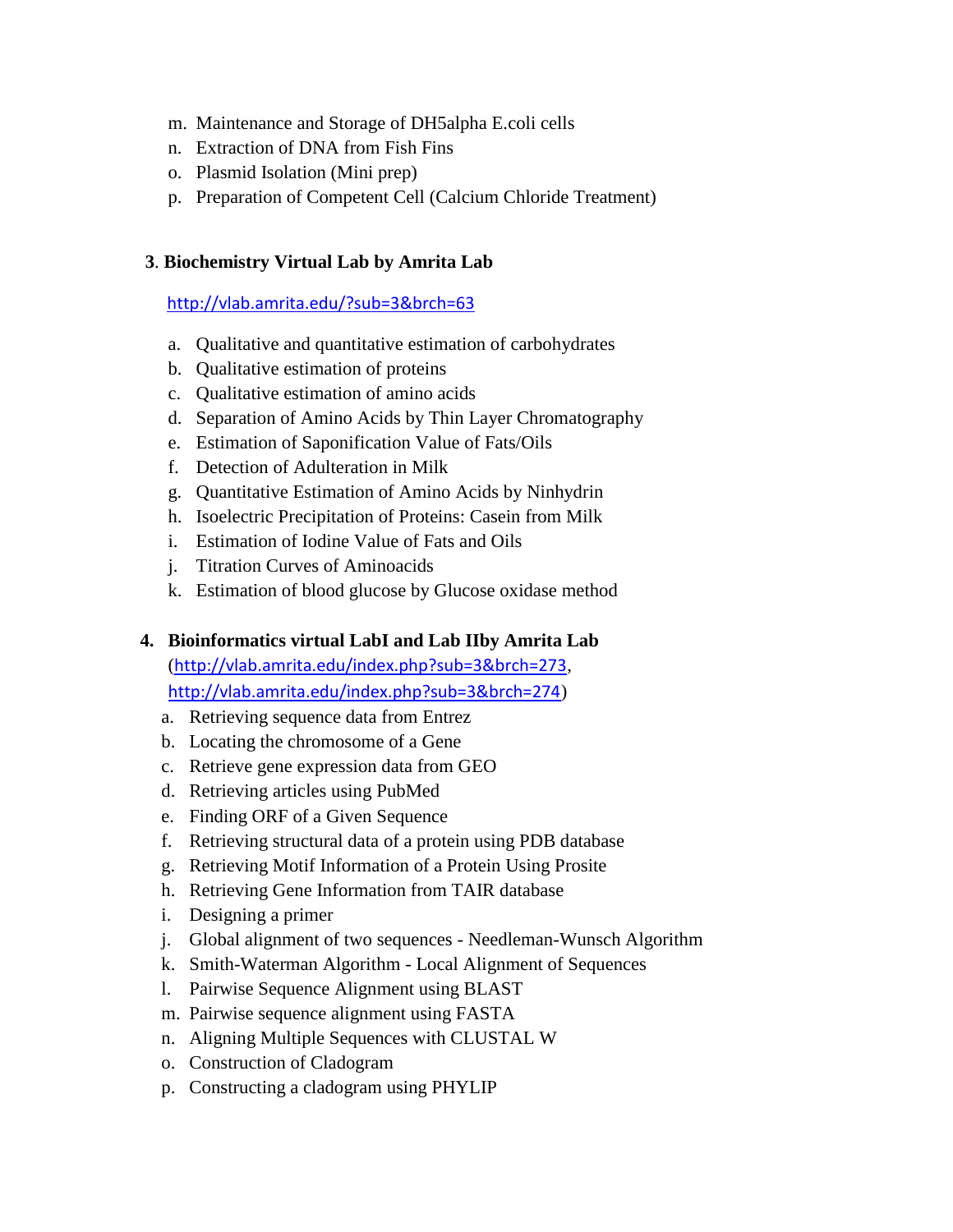- m. Maintenance and Storage of DH5alpha E.coli cells
- n. Extraction of DNA from Fish Fins
- o. Plasmid Isolation (Mini prep)
- p. Preparation of Competent Cell (Calcium Chloride Treatment)

#### **3**. **Biochemistry Virtual Lab by Amrita Lab**

<http://vlab.amrita.edu/?sub=3&brch=63>

- a. Qualitative and quantitative estimation of carbohydrates
- b. Qualitative estimation of proteins
- c. Qualitative estimation of amino acids
- d. Separation of Amino Acids by Thin Layer Chromatography
- e. Estimation of Saponification Value of Fats/Oils
- f. Detection of Adulteration in Milk
- g. Quantitative Estimation of Amino Acids by Ninhydrin
- h. Isoelectric Precipitation of Proteins: Casein from Milk
- i. Estimation of Iodine Value of Fats and Oils
- j. Titration Curves of Aminoacids
- k. Estimation of blood glucose by Glucose oxidase method

# **4. Bioinformatics virtual LabI and Lab IIby Amrita Lab**

(<http://vlab.amrita.edu/index.php?sub=3&brch=273>, <http://vlab.amrita.edu/index.php?sub=3&brch=274>)

- a. Retrieving sequence data from Entrez
- b. Locating the chromosome of a Gene
- c. Retrieve gene expression data from GEO
- d. Retrieving articles using PubMed
- e. Finding ORF of a Given Sequence
- f. Retrieving structural data of a protein using PDB database
- g. Retrieving Motif Information of a Protein Using Prosite
- h. Retrieving Gene Information from TAIR database
- i. Designing a primer
- j. Global alignment of two sequences Needleman-Wunsch Algorithm
- k. Smith-Waterman Algorithm Local Alignment of Sequences
- l. Pairwise Sequence Alignment using BLAST
- m. Pairwise sequence alignment using FASTA
- n. Aligning Multiple Sequences with CLUSTAL W
- o. Construction of Cladogram
- p. Constructing a cladogram using PHYLIP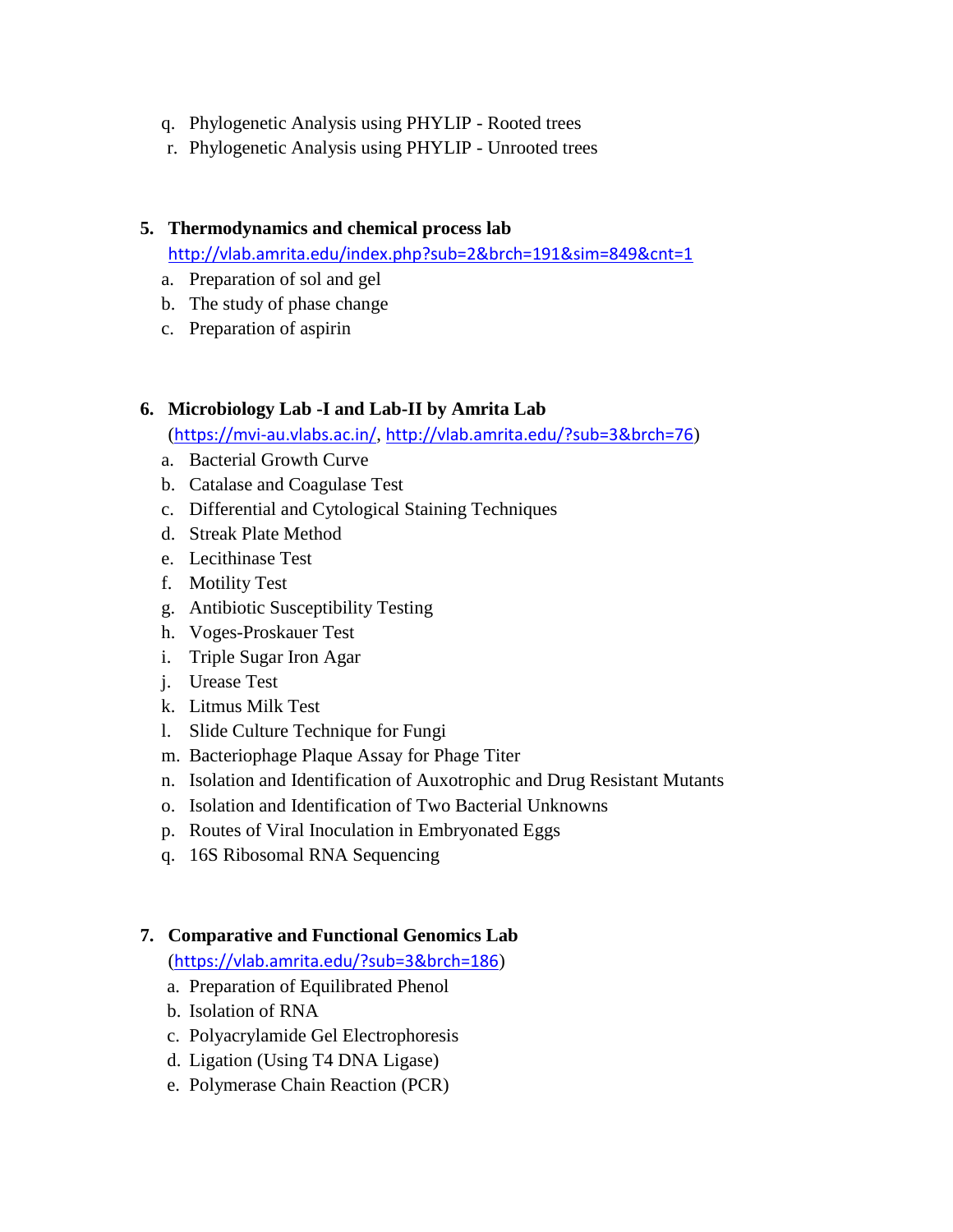- q. Phylogenetic Analysis using PHYLIP Rooted trees
- r. Phylogenetic Analysis using PHYLIP Unrooted trees

#### **5. Thermodynamics and chemical process lab**

<http://vlab.amrita.edu/index.php?sub=2&brch=191&sim=849&cnt=1>

- a. Preparation of sol and gel
- b. The study of phase change
- c. Preparation of aspirin

# **6. Microbiology Lab -I and Lab-II by Amrita Lab**

(<https://mvi-au.vlabs.ac.in/>, <http://vlab.amrita.edu/?sub=3&brch=76>)

- a. Bacterial Growth Curve
- b. Catalase and Coagulase Test
- c. Differential and Cytological Staining Techniques
- d. Streak Plate Method
- e. Lecithinase Test
- f. Motility Test
- g. Antibiotic Susceptibility Testing
- h. Voges-Proskauer Test
- i. Triple Sugar Iron Agar
- j. Urease Test
- k. Litmus Milk Test
- l. Slide Culture Technique for Fungi
- m. Bacteriophage Plaque Assay for Phage Titer
- n. Isolation and Identification of Auxotrophic and Drug Resistant Mutants
- o. Isolation and Identification of Two Bacterial Unknowns
- p. Routes of Viral Inoculation in Embryonated Eggs
- q. 16S Ribosomal RNA Sequencing

# **7. Comparative and Functional Genomics Lab**

(<https://vlab.amrita.edu/?sub=3&brch=186>)

- a. Preparation of Equilibrated Phenol
- b. Isolation of RNA
- c. Polyacrylamide Gel Electrophoresis
- d. Ligation (Using T4 DNA Ligase)
- e. Polymerase Chain Reaction (PCR)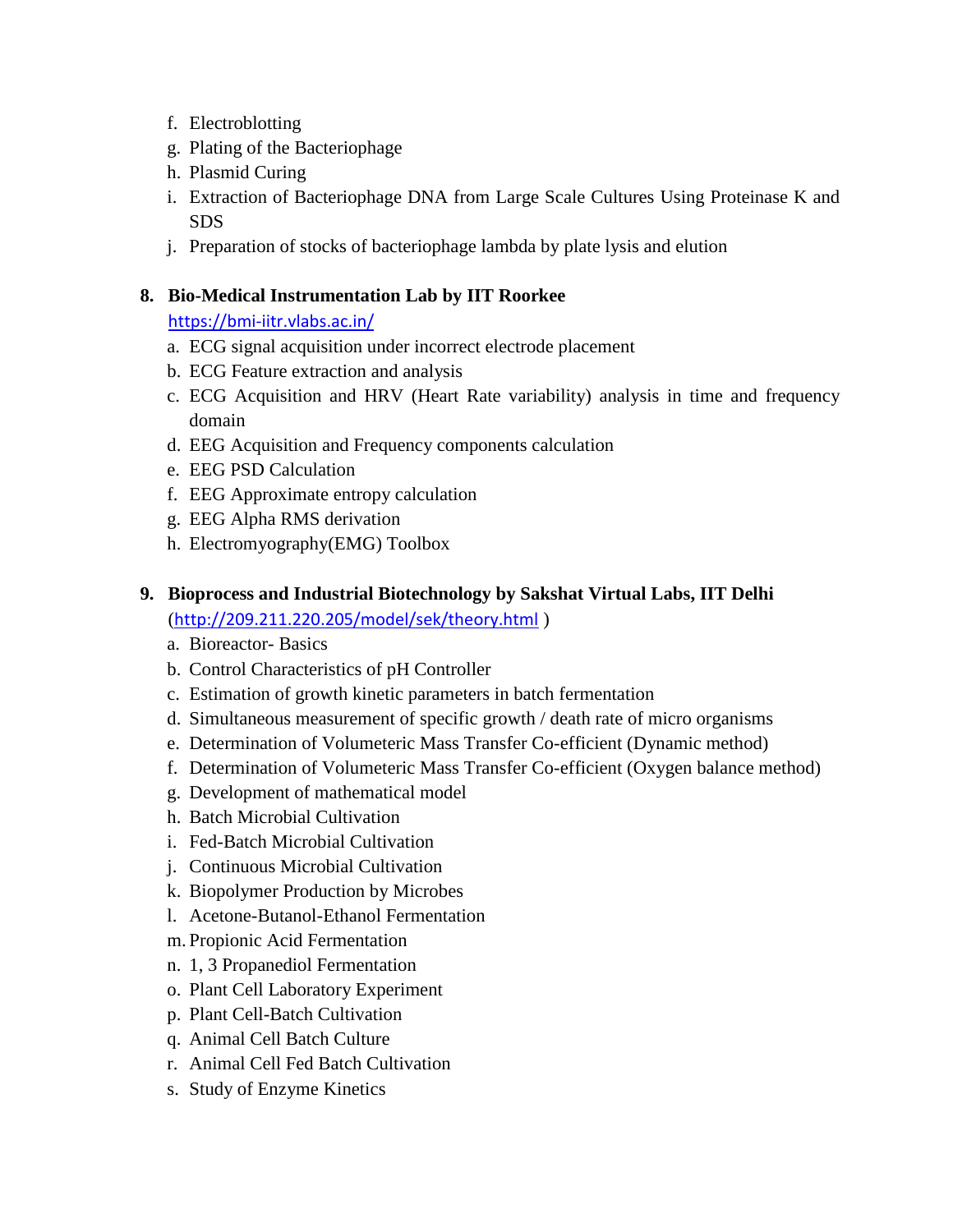- f. Electroblotting
- g. Plating of the Bacteriophage
- h. Plasmid Curing
- i. Extraction of Bacteriophage DNA from Large Scale Cultures Using Proteinase K and SDS
- j. Preparation of stocks of bacteriophage lambda by plate lysis and elution

# **8. Bio-Medical Instrumentation Lab by IIT Roorkee**

<https://bmi-iitr.vlabs.ac.in/>

- a. ECG signal acquisition under incorrect electrode placement
- b. ECG Feature extraction and analysis
- c. ECG Acquisition and HRV (Heart Rate variability) analysis in time and frequency domain
- d. EEG Acquisition and Frequency components calculation
- e. EEG PSD Calculation
- f. EEG Approximate entropy calculation
- g. EEG Alpha RMS derivation
- h. Electromyography(EMG) Toolbox
- **9. Bioprocess and Industrial Biotechnology by Sakshat Virtual Labs, IIT Delhi** (<http://209.211.220.205/model/sek/theory.html> )
	- a. Bioreactor- Basics
	- b. Control Characteristics of pH Controller
	- c. Estimation of growth kinetic parameters in batch fermentation
	- d. Simultaneous measurement of specific growth / death rate of micro organisms
	- e. Determination of Volumeteric Mass Transfer Co-efficient (Dynamic method)
	- f. Determination of Volumeteric Mass Transfer Co-efficient (Oxygen balance method)
	- g. Development of mathematical model
	- h. Batch Microbial Cultivation
	- i. Fed-Batch Microbial Cultivation
	- j. Continuous Microbial Cultivation
	- k. Biopolymer Production by Microbes
	- l. Acetone-Butanol-Ethanol Fermentation
	- m. Propionic Acid Fermentation
	- n. 1, 3 Propanediol Fermentation
	- o. Plant Cell Laboratory Experiment
	- p. Plant Cell-Batch Cultivation
	- q. Animal Cell Batch Culture
	- r. Animal Cell Fed Batch Cultivation
	- s. Study of Enzyme Kinetics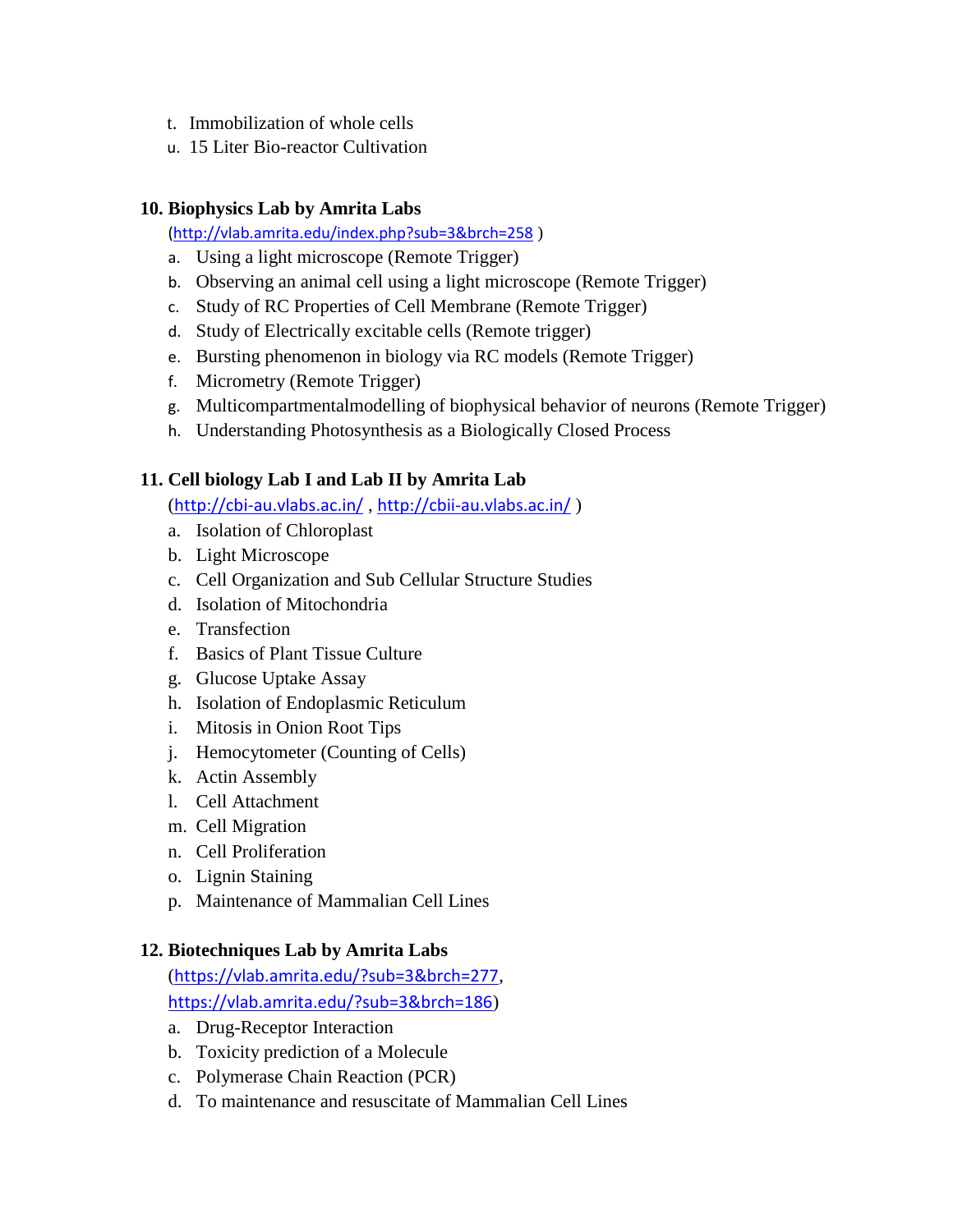- t. Immobilization of whole cells
- u. 15 Liter Bio-reactor Cultivation

# **10. Biophysics Lab by Amrita Labs**

[\(http://vlab.amrita.edu/index.php?sub=3&brch=258](http://vlab.amrita.edu/index.php?sub=3&brch=258) )

- a. Using a light microscope (Remote Trigger)
- b. Observing an animal cell using a light microscope (Remote Trigger)
- c. Study of RC Properties of Cell Membrane (Remote Trigger)
- d. Study of Electrically excitable cells (Remote trigger)
- e. Bursting phenomenon in biology via RC models (Remote Trigger)
- f. Micrometry (Remote Trigger)
- g. Multicompartmentalmodelling of biophysical behavior of neurons (Remote Trigger)
- h. Understanding Photosynthesis as a Biologically Closed Process

# **11. Cell biology Lab I and Lab II by Amrita Lab**

(<http://cbi-au.vlabs.ac.in/> , <http://cbii-au.vlabs.ac.in/> )

- a. Isolation of Chloroplast
- b. Light Microscope
- c. Cell Organization and Sub Cellular Structure Studies
- d. Isolation of Mitochondria
- e. Transfection
- f. Basics of Plant Tissue Culture
- g. Glucose Uptake Assay
- h. Isolation of Endoplasmic Reticulum
- i. Mitosis in Onion Root Tips
- j. Hemocytometer (Counting of Cells)
- k. Actin Assembly
- l. Cell Attachment
- m. Cell Migration
- n. Cell Proliferation
- o. Lignin Staining
- p. Maintenance of Mammalian Cell Lines

# **12. Biotechniques Lab by Amrita Labs**

(<https://vlab.amrita.edu/?sub=3&brch=277>, <https://vlab.amrita.edu/?sub=3&brch=186>)

- a. Drug-Receptor Interaction
- b. Toxicity prediction of a Molecule
- c. Polymerase Chain Reaction (PCR)
- d. To maintenance and resuscitate of Mammalian Cell Lines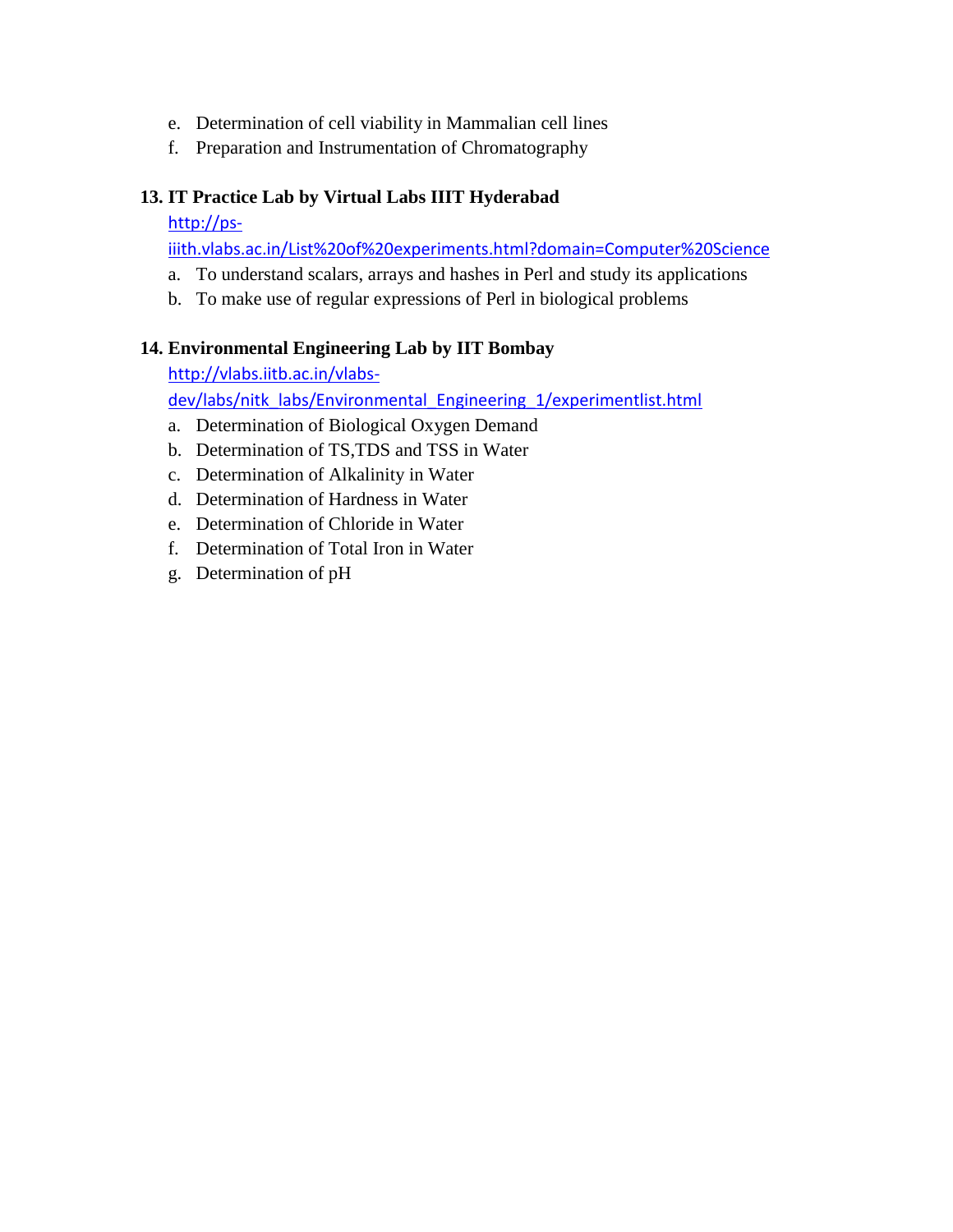- e. Determination of cell viability in Mammalian cell lines
- f. Preparation and Instrumentation of Chromatography

# **13. IT Practice Lab by Virtual Labs IIIT Hyderabad**

# [http://ps-](http://ps-iiith.vlabs.ac.in/List%20of%20experiments.html?domain=Computer%20Science)

[iiith.vlabs.ac.in/List%20of%20experiments.html?domain=Computer%20Science](http://ps-iiith.vlabs.ac.in/List%20of%20experiments.html?domain=Computer%20Science)

- a. To understand scalars, arrays and hashes in Perl and study its applications
- b. To make use of regular expressions of Perl in biological problems

# **14. Environmental Engineering Lab by IIT Bombay**

[http://vlabs.iitb.ac.in/vlabs-](http://vlabs.iitb.ac.in/vlabs-dev/labs/nitk_labs/Environmental_Engineering_1/experimentlist.html)

[dev/labs/nitk\\_labs/Environmental\\_Engineering\\_1/experimentlist.html](http://vlabs.iitb.ac.in/vlabs-dev/labs/nitk_labs/Environmental_Engineering_1/experimentlist.html)

- a. Determination of Biological Oxygen Demand
- b. Determination of TS,TDS and TSS in Water
- c. Determination of Alkalinity in Water
- d. Determination of Hardness in Water
- e. Determination of Chloride in Water
- f. Determination of Total Iron in Water
- g. Determination of pH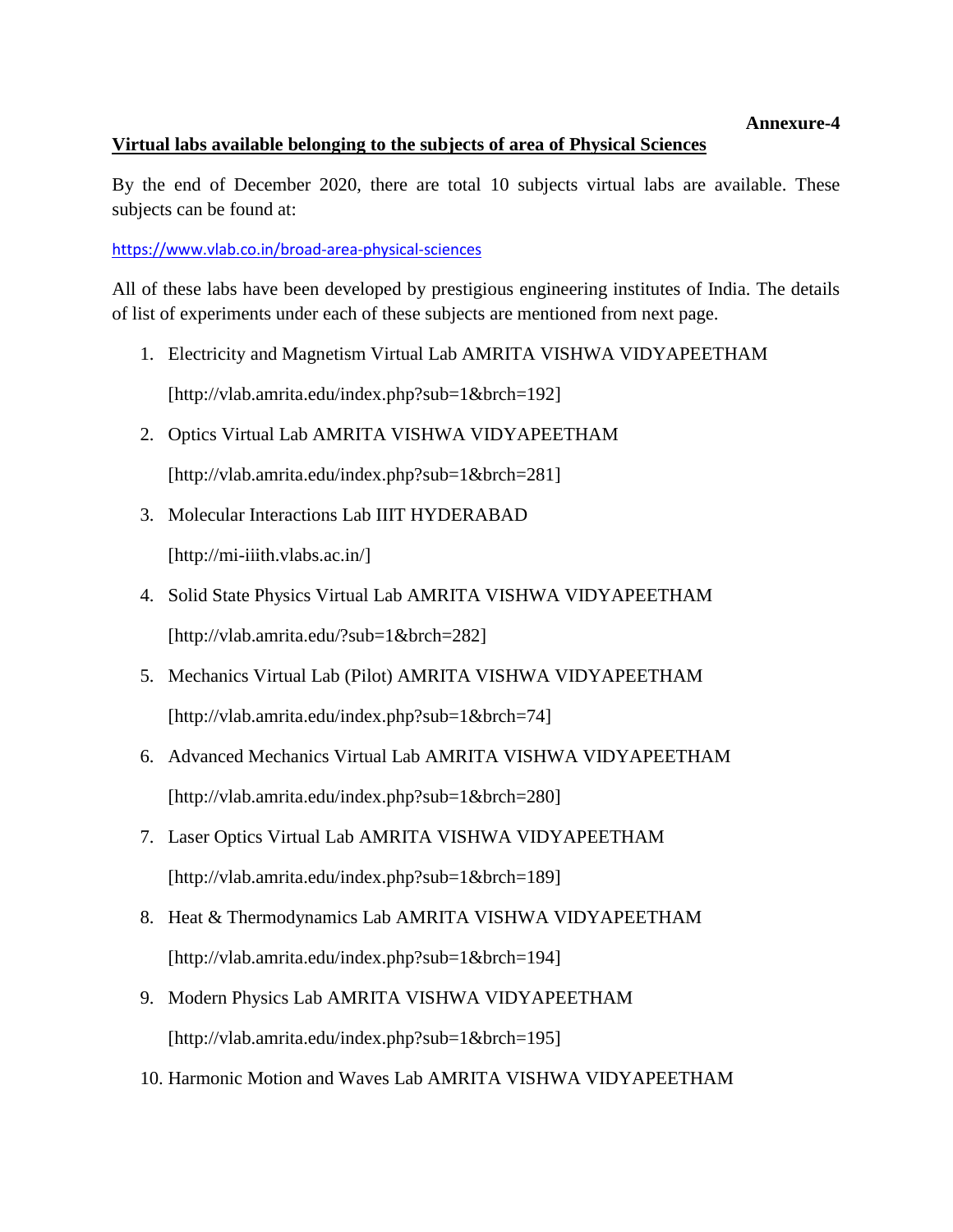#### **Annexure-4**

#### **Virtual labs available belonging to the subjects of area of Physical Sciences**

By the end of December 2020, there are total 10 subjects virtual labs are available. These subjects can be found at:

<https://www.vlab.co.in/broad-area-physical-sciences>

All of these labs have been developed by prestigious engineering institutes of India. The details of list of experiments under each of these subjects are mentioned from next page.

- 1. Electricity and Magnetism Virtual Lab AMRITA VISHWA VIDYAPEETHAM [http://vlab.amrita.edu/index.php?sub=1&brch=192]
- 2. Optics Virtual Lab AMRITA VISHWA VIDYAPEETHAM

[http://vlab.amrita.edu/index.php?sub=1&brch=281]

3. Molecular Interactions Lab IIIT HYDERABAD

[http://mi-iiith.vlabs.ac.in/]

- 4. Solid State Physics Virtual Lab AMRITA VISHWA VIDYAPEETHAM [http://vlab.amrita.edu/?sub=1&brch=282]
- 5. Mechanics Virtual Lab (Pilot) AMRITA VISHWA VIDYAPEETHAM [http://vlab.amrita.edu/index.php?sub=1&brch=74]
- 6. Advanced Mechanics Virtual Lab AMRITA VISHWA VIDYAPEETHAM [http://vlab.amrita.edu/index.php?sub=1&brch=280]
- 7. Laser Optics Virtual Lab AMRITA VISHWA VIDYAPEETHAM [http://vlab.amrita.edu/index.php?sub=1&brch=189]
- 8. Heat & Thermodynamics Lab AMRITA VISHWA VIDYAPEETHAM [http://vlab.amrita.edu/index.php?sub=1&brch=194]
- 9. Modern Physics Lab AMRITA VISHWA VIDYAPEETHAM [http://vlab.amrita.edu/index.php?sub=1&brch=195]
- 10. Harmonic Motion and Waves Lab AMRITA VISHWA VIDYAPEETHAM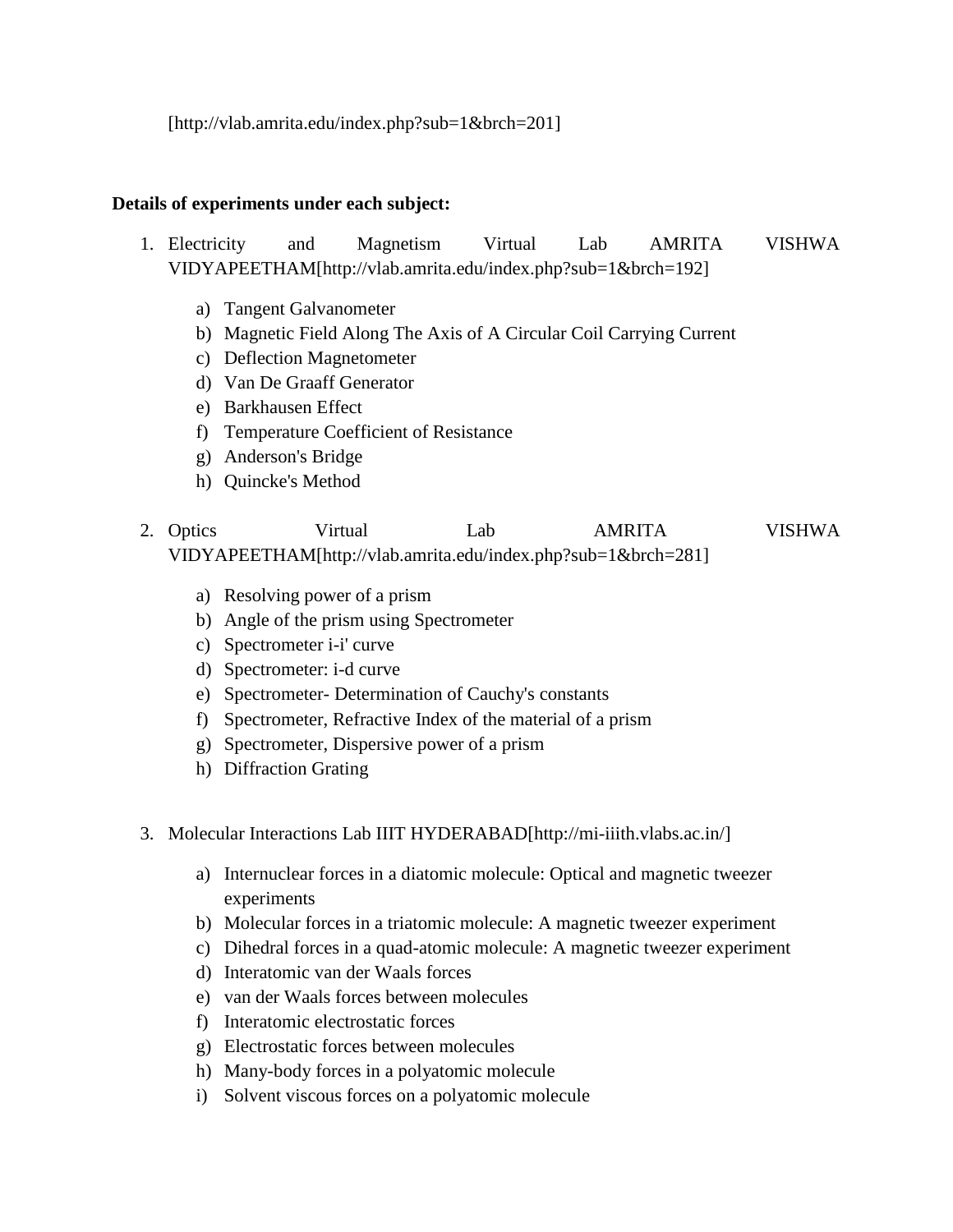[http://vlab.amrita.edu/index.php?sub=1&brch=201]

#### **Details of experiments under each subject:**

- 1. Electricity and Magnetism Virtual Lab AMRITA VISHWA VIDYAPEETHAM[http://vlab.amrita.edu/index.php?sub=1&brch=192]
	- a) Tangent Galvanometer
	- b) Magnetic Field Along The Axis of A Circular Coil Carrying Current
	- c) Deflection Magnetometer
	- d) Van De Graaff Generator
	- e) Barkhausen Effect
	- f) Temperature Coefficient of Resistance
	- g) Anderson's Bridge
	- h) Quincke's Method
- 2. Optics Virtual Lab AMRITA VISHWA VIDYAPEETHAM[http://vlab.amrita.edu/index.php?sub=1&brch=281]
	- a) Resolving power of a prism
	- b) Angle of the prism using Spectrometer
	- c) Spectrometer i-i' curve
	- d) Spectrometer: i-d curve
	- e) Spectrometer- Determination of Cauchy's constants
	- f) Spectrometer, Refractive Index of the material of a prism
	- g) Spectrometer, Dispersive power of a prism
	- h) Diffraction Grating
- 3. Molecular Interactions Lab IIIT HYDERABAD[http://mi-iiith.vlabs.ac.in/]
	- a) Internuclear forces in a diatomic molecule: Optical and magnetic tweezer experiments
	- b) Molecular forces in a triatomic molecule: A magnetic tweezer experiment
	- c) Dihedral forces in a quad-atomic molecule: A magnetic tweezer experiment
	- d) Interatomic van der Waals forces
	- e) van der Waals forces between molecules
	- f) Interatomic electrostatic forces
	- g) Electrostatic forces between molecules
	- h) Many-body forces in a polyatomic molecule
	- i) Solvent viscous forces on a polyatomic molecule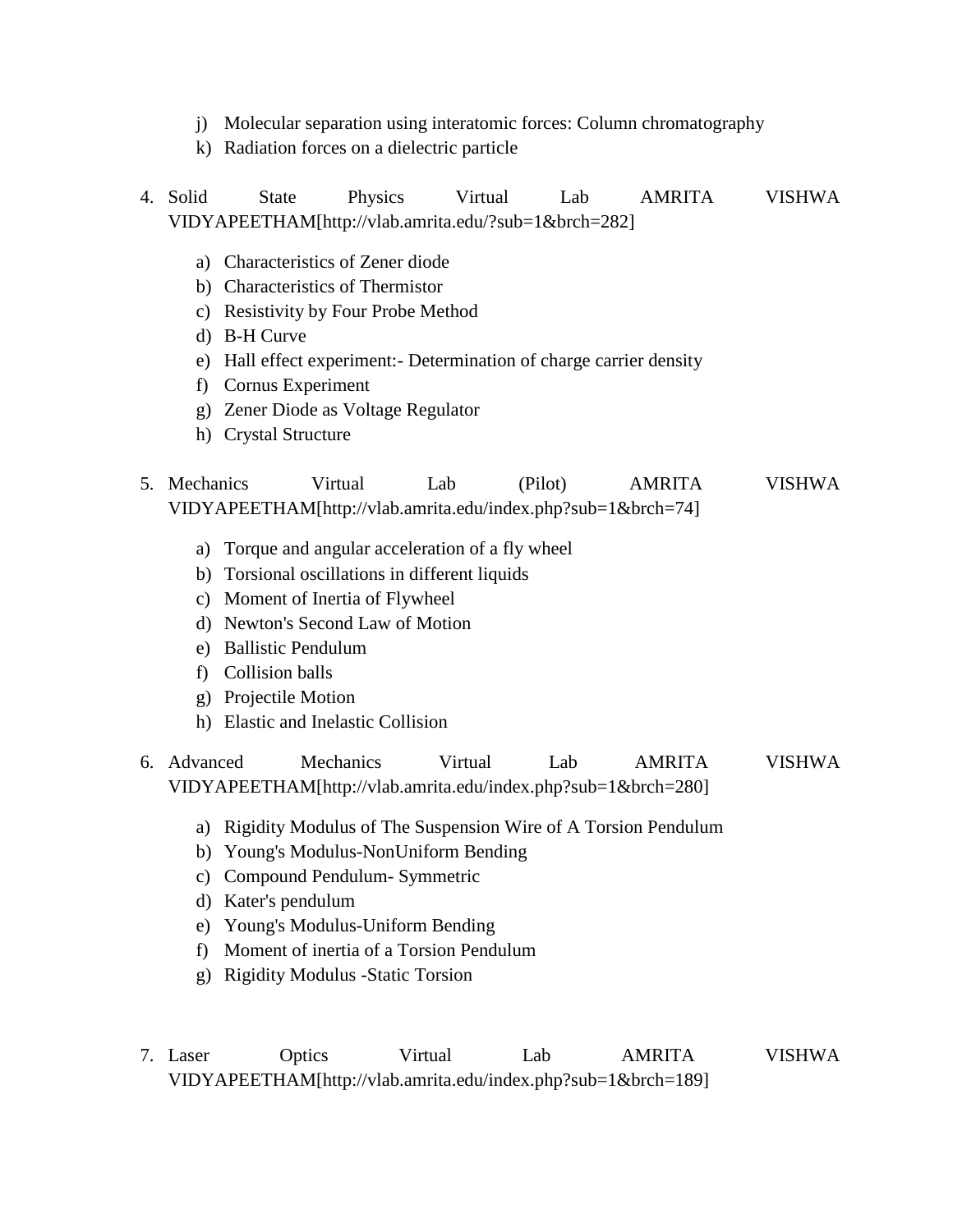- j) Molecular separation using interatomic forces: Column chromatography
- k) Radiation forces on a dielectric particle
- 4. Solid State Physics Virtual Lab AMRITA VISHWA VIDYAPEETHAM[http://vlab.amrita.edu/?sub=1&brch=282]
	- a) Characteristics of Zener diode
	- b) Characteristics of Thermistor
	- c) Resistivity by Four Probe Method
	- d) B-H Curve
	- e) Hall effect experiment:- Determination of charge carrier density
	- f) Cornus Experiment
	- g) Zener Diode as Voltage Regulator
	- h) Crystal Structure
- 5. Mechanics Virtual Lab (Pilot) AMRITA VISHWA VIDYAPEETHAM[http://vlab.amrita.edu/index.php?sub=1&brch=74]
	- a) Torque and angular acceleration of a fly wheel
	- b) Torsional oscillations in different liquids
	- c) Moment of Inertia of Flywheel
	- d) Newton's Second Law of Motion
	- e) Ballistic Pendulum
	- f) Collision balls
	- g) Projectile Motion
	- h) Elastic and Inelastic Collision
- 6. Advanced Mechanics Virtual Lab AMRITA VISHWA VIDYAPEETHAM[http://vlab.amrita.edu/index.php?sub=1&brch=280]
	- a) Rigidity Modulus of The Suspension Wire of A Torsion Pendulum
	- b) Young's Modulus-NonUniform Bending
	- c) Compound Pendulum- Symmetric
	- d) Kater's pendulum
	- e) Young's Modulus-Uniform Bending
	- f) Moment of inertia of a Torsion Pendulum
	- g) Rigidity Modulus -Static Torsion
- 7. Laser Optics Virtual Lab AMRITA VISHWA VIDYAPEETHAM[http://vlab.amrita.edu/index.php?sub=1&brch=189]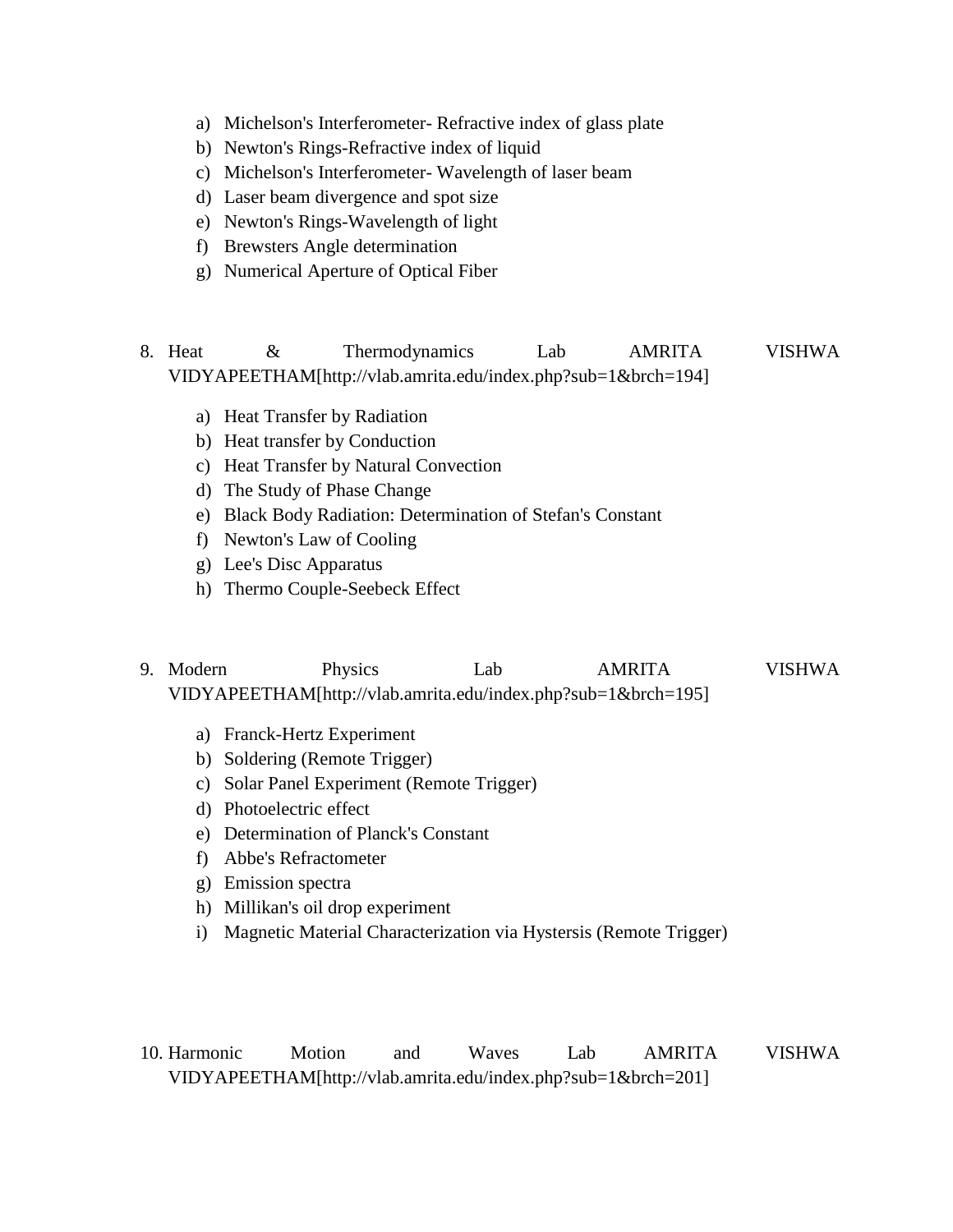- a) Michelson's Interferometer- Refractive index of glass plate
- b) Newton's Rings-Refractive index of liquid
- c) Michelson's Interferometer- Wavelength of laser beam
- d) Laser beam divergence and spot size
- e) Newton's Rings-Wavelength of light
- f) Brewsters Angle determination
- g) Numerical Aperture of Optical Fiber
- 8. Heat  $\&$  Thermodynamics Lab AMRITA VISHWA VIDYAPEETHAM[http://vlab.amrita.edu/index.php?sub=1&brch=194]
	- a) Heat Transfer by Radiation
	- b) Heat transfer by Conduction
	- c) Heat Transfer by Natural Convection
	- d) The Study of Phase Change
	- e) Black Body Radiation: Determination of Stefan's Constant
	- f) Newton's Law of Cooling
	- g) Lee's Disc Apparatus
	- h) Thermo Couple-Seebeck Effect
- 9. Modern Physics Lab AMRITA VISHWA VIDYAPEETHAM[http://vlab.amrita.edu/index.php?sub=1&brch=195]
	- a) Franck-Hertz Experiment
	- b) Soldering (Remote Trigger)
	- c) Solar Panel Experiment (Remote Trigger)
	- d) Photoelectric effect
	- e) Determination of Planck's Constant
	- f) Abbe's Refractometer
	- g) Emission spectra
	- h) Millikan's oil drop experiment
	- i) Magnetic Material Characterization via Hystersis (Remote Trigger)
- 10. Harmonic Motion and Waves Lab AMRITA VISHWA VIDYAPEETHAM[http://vlab.amrita.edu/index.php?sub=1&brch=201]